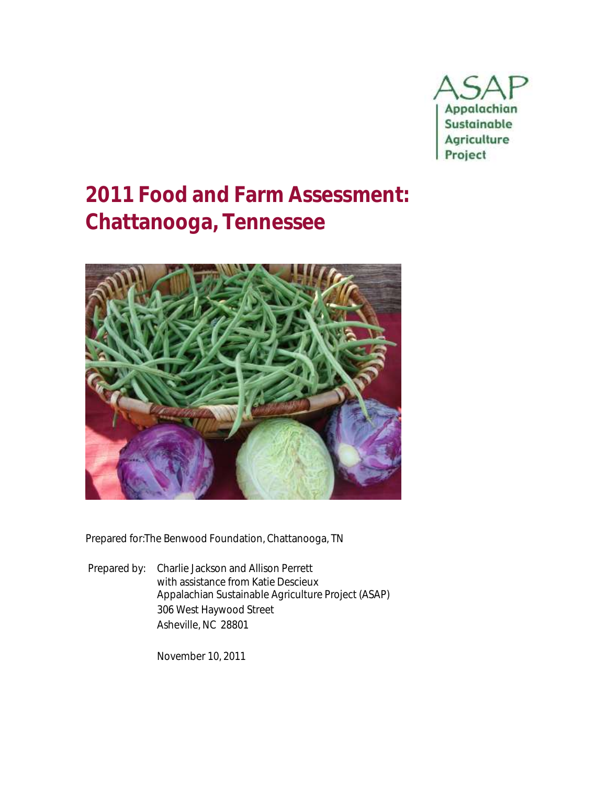

# **2011 Food and Farm Assessment: Chattanooga, Tennessee**



Prepared for:The Benwood Foundation, Chattanooga, TN

Prepared by: Charlie Jackson and Allison Perrett with assistance from Katie Descieux Appalachian Sustainable Agriculture Project (ASAP) 306 West Haywood Street Asheville, NC 28801

November 10, 2011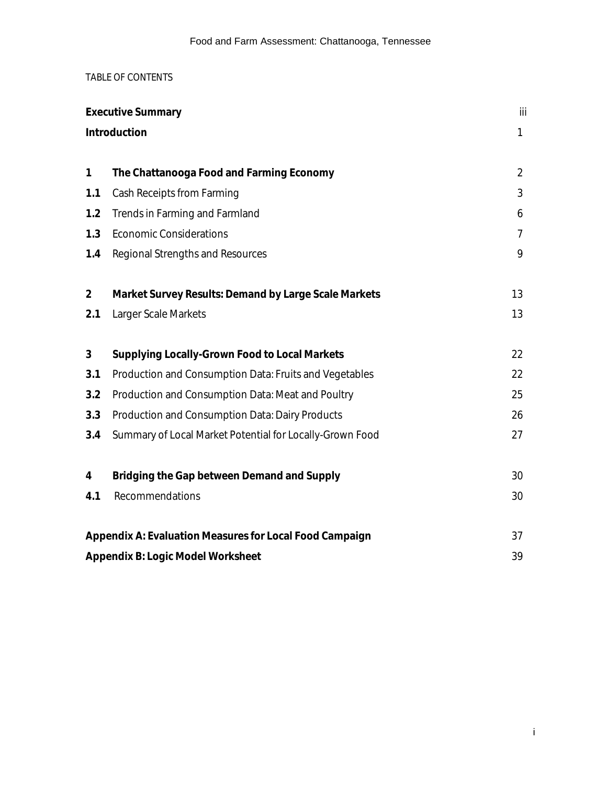# TABLE OF CONTENTS

| <b>Executive Summary</b> | iii                                                      |                |
|--------------------------|----------------------------------------------------------|----------------|
|                          | Introduction                                             | $\mathbf{1}$   |
|                          |                                                          |                |
| $\mathbf{1}$             | The Chattanooga Food and Farming Economy                 | $\overline{2}$ |
| 1.1                      | Cash Receipts from Farming                               | 3              |
| 1.2                      | Trends in Farming and Farmland                           | 6              |
| 1.3                      | <b>Economic Considerations</b>                           | $\overline{7}$ |
| 1.4                      | Regional Strengths and Resources                         | 9              |
|                          |                                                          |                |
| $\overline{2}$           | Market Survey Results: Demand by Large Scale Markets     | 13             |
| 2.1                      | Larger Scale Markets                                     | 13             |
| 3                        | Supplying Locally-Grown Food to Local Markets            | 22             |
| 3.1                      | Production and Consumption Data: Fruits and Vegetables   | 22             |
| 3.2                      | Production and Consumption Data: Meat and Poultry        | 25             |
| 3.3                      |                                                          | 26             |
|                          | Production and Consumption Data: Dairy Products          |                |
| 3.4                      | Summary of Local Market Potential for Locally-Grown Food | 27             |
| 4                        | Bridging the Gap between Demand and Supply               | 30             |
| 4.1                      | Recommendations                                          | 30             |
|                          |                                                          |                |
|                          | Appendix A: Evaluation Measures for Local Food Campaign  | 37             |
|                          | Appendix B: Logic Model Worksheet                        | 39             |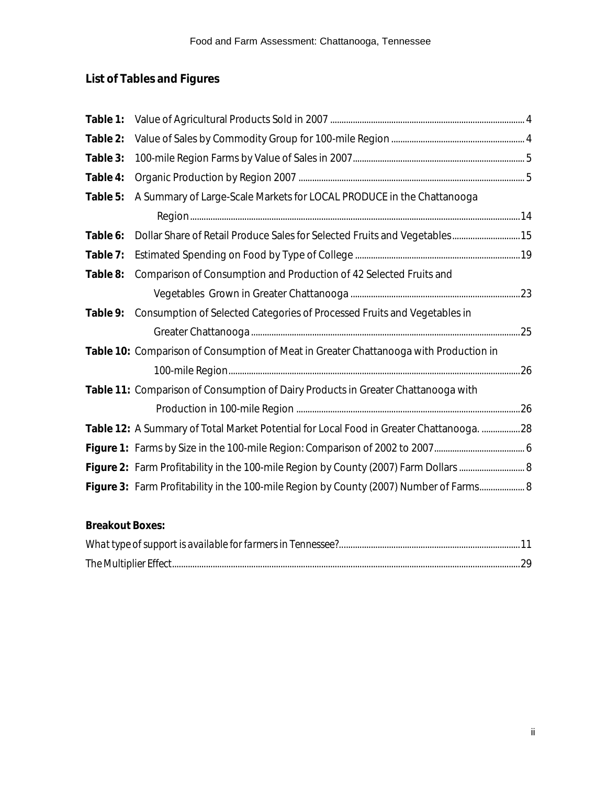# **List of Tables and Figures**

| Table 1: |                                                                                         |  |
|----------|-----------------------------------------------------------------------------------------|--|
| Table 2: |                                                                                         |  |
| Table 3: |                                                                                         |  |
| Table 4: |                                                                                         |  |
| Table 5: | A Summary of Large-Scale Markets for LOCAL PRODUCE in the Chattanooga                   |  |
|          |                                                                                         |  |
| Table 6: | Dollar Share of Retail Produce Sales for Selected Fruits and Vegetables 15              |  |
| Table 7: |                                                                                         |  |
| Table 8: | Comparison of Consumption and Production of 42 Selected Fruits and                      |  |
|          |                                                                                         |  |
| Table 9: | Consumption of Selected Categories of Processed Fruits and Vegetables in                |  |
|          |                                                                                         |  |
|          | Table 10: Comparison of Consumption of Meat in Greater Chattanooga with Production in   |  |
|          |                                                                                         |  |
|          | Table 11: Comparison of Consumption of Dairy Products in Greater Chattanooga with       |  |
|          |                                                                                         |  |
|          | Table 12: A Summary of Total Market Potential for Local Food in Greater Chattanooga. 28 |  |
|          |                                                                                         |  |
|          | Figure 2: Farm Profitability in the 100-mile Region by County (2007) Farm Dollars  8    |  |
|          | Figure 3: Farm Profitability in the 100-mile Region by County (2007) Number of Farms 8  |  |
|          |                                                                                         |  |

| <b>Breakout Boxes:</b> |  |
|------------------------|--|
|------------------------|--|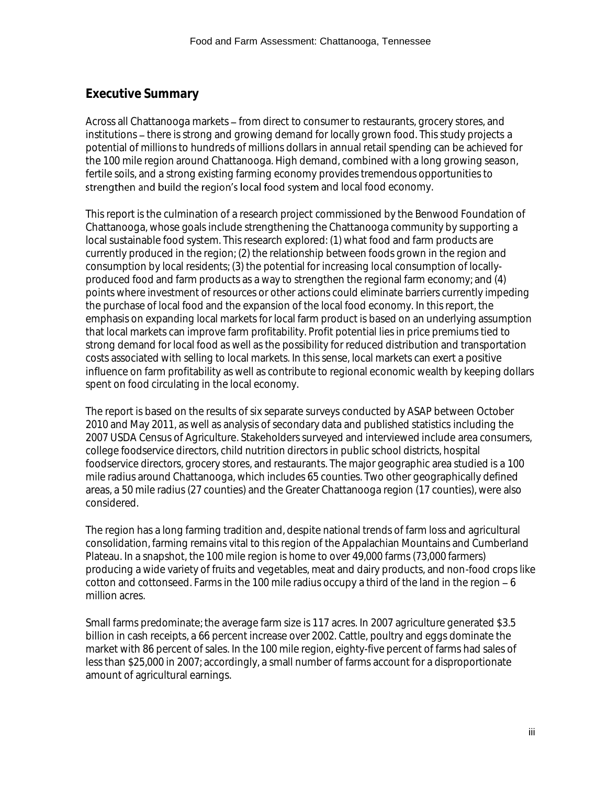# **Executive Summary**

Across all Chattanooga markets – from direct to consumer to restaurants, grocery stores, and institutions - there is strong and growing demand for locally grown food. This study projects a potential of millions to hundreds of millions dollars in annual retail spending can be achieved for the 100 mile region around Chattanooga. High demand, combined with a long growing season, fertile soils, and a strong existing farming economy provides tremendous opportunities to strengthen and build the region's local food system and local food economy.

This report is the culmination of a research project commissioned by the Benwood Foundation of Chattanooga, whose goals include strengthening the Chattanooga community by supporting a local sustainable food system. This research explored: (1) what food and farm products are currently produced in the region; (2) the relationship between foods grown in the region and consumption by local residents; (3) the potential for increasing local consumption of locallyproduced food and farm products as a way to strengthen the regional farm economy; and (4) points where investment of resources or other actions could eliminate barriers currently impeding the purchase of local food and the expansion of the local food economy. In this report, the emphasis on expanding local markets for local farm product is based on an underlying assumption that local markets can improve farm profitability. Profit potential lies in price premiums tied to strong demand for local food as well as the possibility for reduced distribution and transportation costs associated with selling to local markets. In this sense, local markets can exert a positive influence on farm profitability as well as contribute to regional economic wealth by keeping dollars spent on food circulating in the local economy.

The report is based on the results of six separate surveys conducted by ASAP between October 2010 and May 2011, as well as analysis of secondary data and published statistics including the 2007 USDA Census of Agriculture. Stakeholders surveyed and interviewed include area consumers, college foodservice directors, child nutrition directors in public school districts, hospital foodservice directors, grocery stores, and restaurants. The major geographic area studied is a 100 mile radius around Chattanooga, which includes 65 counties. Two other geographically defined areas, a 50 mile radius (27 counties) and the Greater Chattanooga region (17 counties), were also considered.

The region has a long farming tradition and, despite national trends of farm loss and agricultural consolidation, farming remains vital to this region of the Appalachian Mountains and Cumberland Plateau. In a snapshot, the 100 mile region is home to over 49,000 farms (73,000 farmers) producing a wide variety of fruits and vegetables, meat and dairy products, and non-food crops like cotton and cottonseed. Farms in the 100 mile radius occupy a third of the land in the region  $-6$ million acres.

Small farms predominate; the average farm size is 117 acres. In 2007 agriculture generated \$3.5 billion in cash receipts, a 66 percent increase over 2002. Cattle, poultry and eggs dominate the market with 86 percent of sales. In the 100 mile region, eighty-five percent of farms had sales of less than \$25,000 in 2007; accordingly, a small number of farms account for a disproportionate amount of agricultural earnings.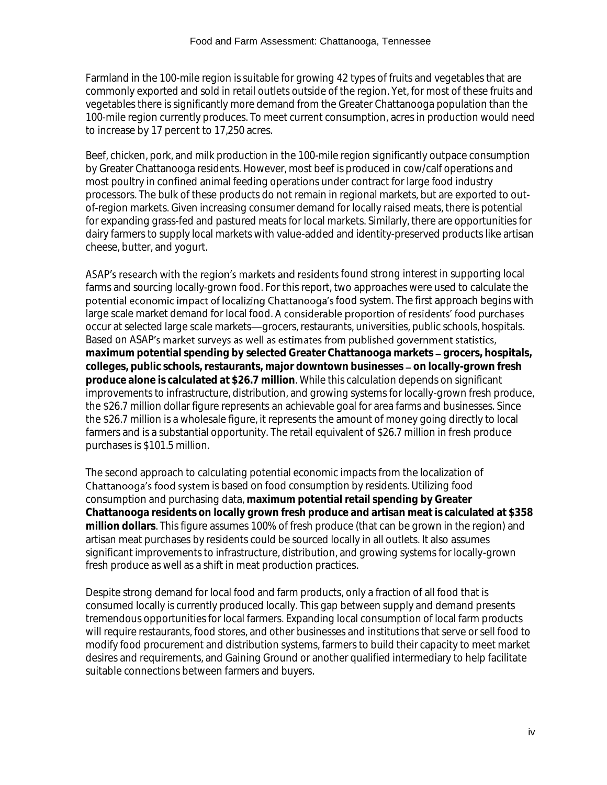Farmland in the 100-mile region is suitable for growing 42 types of fruits and vegetables that are commonly exported and sold in retail outlets outside of the region. Yet, for most of these fruits and vegetables there is significantly more demand from the Greater Chattanooga population than the 100-mile region currently produces. To meet current consumption, acres in production would need to increase by 17 percent to 17,250 acres.

Beef, chicken, pork, and milk production in the 100-mile region significantly outpace consumption by Greater Chattanooga residents. However, most beef is produced in cow/calf operations and most poultry in confined animal feeding operations under contract for large food industry processors. The bulk of these products do not remain in regional markets, but are exported to outof-region markets. Given increasing consumer demand for locally raised meats, there is potential for expanding grass-fed and pastured meats for local markets. Similarly, there are opportunities for dairy farmers to supply local markets with value-added and identity-preserved products like artisan cheese, butter, and yogurt.

ASAP's research with the region's markets and residents found strong interest in supporting local farms and sourcing locally-grown food. For this report, two approaches were used to calculate the potential economic impact of localizing Chattanooga's food system. The first approach begins with large scale market demand for local food. A considerable proportion of residents' food purchases occur at selected large scale markets—grocers, restaurants, universities, public schools, hospitals. Based on ASAP's market surveys as well as estimates from published government statistics, maximum potential spending by selected Greater Chattanooga markets - grocers, hospitals, colleges, public schools, restaurants, major downtown businesses - on locally-grown fresh **produce alone is calculated at \$26.7 million**. While this calculation depends on significant improvements to infrastructure, distribution, and growing systems for locally-grown fresh produce, the \$26.7 million dollar figure represents an achievable goal for area farms and businesses. Since the \$26.7 million is a wholesale figure, it represents the amount of money going directly to local farmers and is a substantial opportunity. The retail equivalent of \$26.7 million in fresh produce purchases is \$101.5 million.

The second approach to calculating potential economic impacts from the localization of Chattanooga's food system is based on food consumption by residents. Utilizing food consumption and purchasing data, **maximum potential retail spending by Greater Chattanooga residents on locally grown fresh produce and artisan meat is calculated at \$358 million dollars**. This figure assumes 100% of fresh produce (that can be grown in the region) and artisan meat purchases by residents could be sourced locally in all outlets. It also assumes significant improvements to infrastructure, distribution, and growing systems for locally-grown fresh produce as well as a shift in meat production practices.

Despite strong demand for local food and farm products, only a fraction of all food that is consumed locally is currently produced locally. This gap between supply and demand presents tremendous opportunities for local farmers. Expanding local consumption of local farm products will require restaurants, food stores, and other businesses and institutions that serve or sell food to modify food procurement and distribution systems, farmers to build their capacity to meet market desires and requirements, and Gaining Ground or another qualified intermediary to help facilitate suitable connections between farmers and buyers.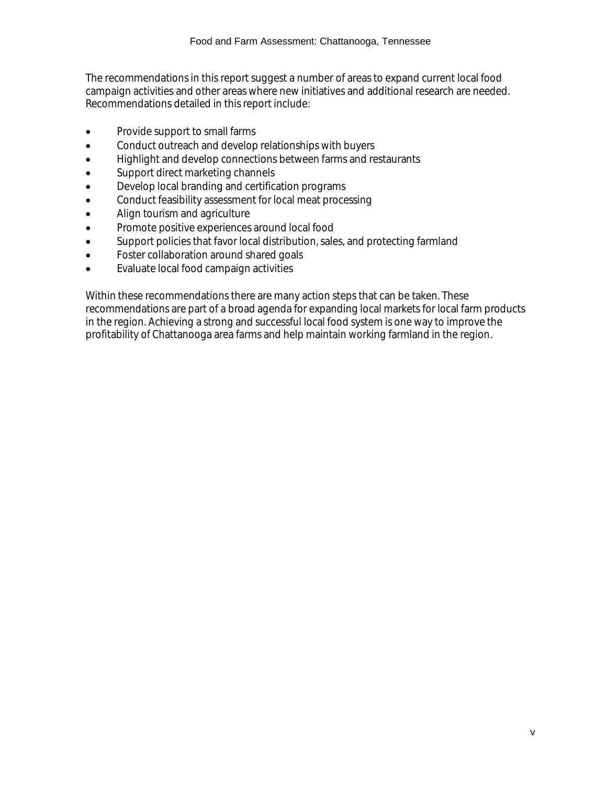The recommendations in this report suggest a number of areas to expand current local food campaign activities and other areas where new initiatives and additional research are needed. Recommendations detailed in this report include:

- Provide support to small farms
- Conduct outreach and develop relationships with buyers
- Highlight and develop connections between farms and restaurants
- Support direct marketing channels
- Develop local branding and certification programs
- Conduct feasibility assessment for local meat processing
- Align tourism and agriculture
- Promote positive experiences around local food
- Support policies that favor local distribution, sales, and protecting farmland
- Foster collaboration around shared goals
- Evaluate local food campaign activities

Within these recommendations there are many action steps that can be taken. These recommendations are part of a broad agenda for expanding local markets for local farm products in the region. Achieving a strong and successful local food system is one way to improve the profitability of Chattanooga area farms and help maintain working farmland in the region.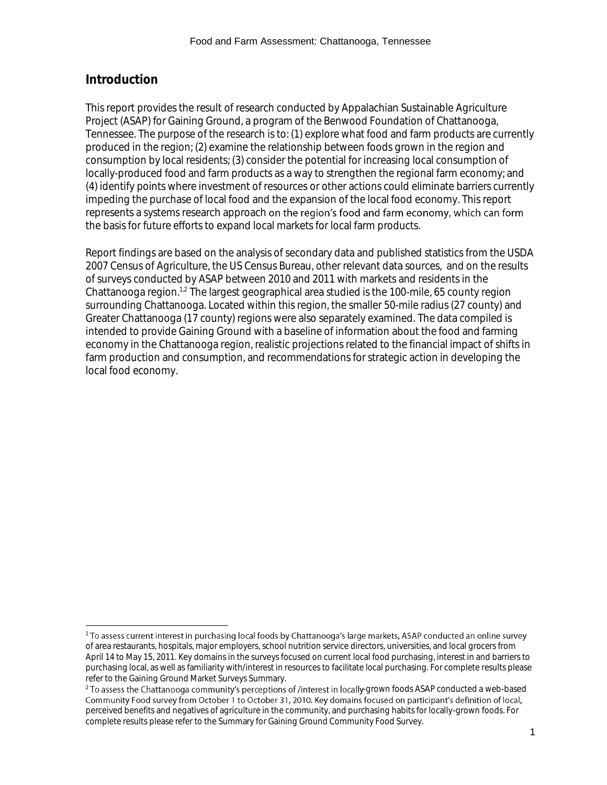# **Introduction**

l

This report provides the result of research conducted by Appalachian Sustainable Agriculture Project (ASAP) for Gaining Ground, a program of the Benwood Foundation of Chattanooga, Tennessee. The purpose of the research is to: (1) explore what food and farm products are currently produced in the region; (2) examine the relationship between foods grown in the region and consumption by local residents; (3) consider the potential for increasing local consumption of locally-produced food and farm products as a way to strengthen the regional farm economy; and (4) identify points where investment of resources or other actions could eliminate barriers currently impeding the purchase of local food and the expansion of the local food economy. This report represents a systems research approach on the region's food and farm economy, which can form the basis for future efforts to expand local markets for local farm products.

Report findings are based on the analysis of secondary data and published statistics from the USDA 2007 Census of Agriculture, the US Census Bureau, other relevant data sources, and on the results of surveys conducted by ASAP between 2010 and 2011 with markets and residents in the Chattanooga region.<sup>1,2</sup> The largest geographical area studied is the 100-mile, 65 county region surrounding Chattanooga. Located within this region, the smaller 50-mile radius (27 county) and Greater Chattanooga (17 county) regions were also separately examined. The data compiled is intended to provide Gaining Ground with a baseline of information about the food and farming economy in the Chattanooga region, realistic projections related to the financial impact of shifts in farm production and consumption, and recommendations for strategic action in developing the local food economy.

<sup>&</sup>lt;sup>1</sup> To assess current interest in purchasing local foods by Chattanooga's large markets, ASAP conducted an online survey of area restaurants, hospitals, major employers, school nutrition service directors, universities, and local grocers from April 14 to May 15, 2011. Key domains in the surveys focused on current local food purchasing, interest in and barriers to purchasing local, as well as familiarity with/interest in resources to facilitate local purchasing. For complete results please refer to the Gaining Ground Market Surveys Summary.

 $^2$  To assess the Chattanooga community's perceptions of /interest in locally-grown foods ASAP conducted a web-based perceived benefits and negatives of agriculture in the community, and purchasing habits for locally-grown foods. For complete results please refer to the Summary for Gaining Ground Community Food Survey.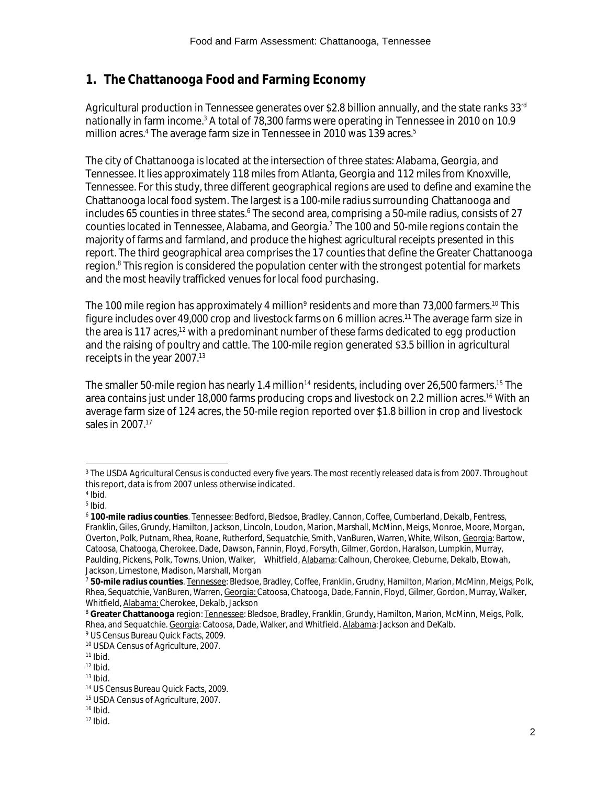# **1. The Chattanooga Food and Farming Economy**

Agricultural production in Tennessee generates over \$2.8 billion annually, and the state ranks 33rd nationally in farm income.<sup>3</sup> A total of 78,300 farms were operating in Tennessee in 2010 on 10.9 million acres.<sup>4</sup> The average farm size in Tennessee in 2010 was 139 acres.<sup>5</sup>

The city of Chattanooga is located at the intersection of three states: Alabama, Georgia, and Tennessee. It lies approximately 118 miles from Atlanta, Georgia and 112 miles from Knoxville, Tennessee. For this study, three different geographical regions are used to define and examine the Chattanooga local food system. The largest is a 100-mile radius surrounding Chattanooga and includes 65 counties in three states.<sup>6</sup> The second area, comprising a 50-mile radius, consists of 27 counties located in Tennessee, Alabama, and Georgia.<sup>7</sup> The 100 and 50-mile regions contain the majority of farms and farmland, and produce the highest agricultural receipts presented in this report. The third geographical area comprises the 17 counties that define the Greater Chattanooga region. <sup>8</sup> This region is considered the population center with the strongest potential for markets and the most heavily trafficked venues for local food purchasing.

The 100 mile region has approximately 4 million<sup>9</sup> residents and more than 73,000 farmers.<sup>10</sup> This figure includes over 49,000 crop and livestock farms on 6 million acres.<sup>11</sup> The average farm size in the area is 117 acres,<sup>12</sup> with a predominant number of these farms dedicated to egg production and the raising of poultry and cattle. The 100-mile region generated \$3.5 billion in agricultural receipts in the year 2007.<sup>13</sup>

The smaller 50-mile region has nearly 1.4 million<sup>14</sup> residents, including over 26,500 farmers.<sup>15</sup> The area contains just under 18,000 farms producing crops and livestock on 2.2 million acres.<sup>16</sup> With an average farm size of 124 acres, the 50-mile region reported over \$1.8 billion in crop and livestock sales in 2007.<sup>17</sup>

l <sup>3</sup> The USDA Agricultural Census is conducted every five years. The most recently released data is from 2007. Throughout this report, data is from 2007 unless otherwise indicated.

<sup>4</sup> Ibid.

<sup>5</sup> Ibid.

<sup>6</sup> **100-mile radius counties**. Tennessee: Bedford, Bledsoe, Bradley, Cannon, Coffee, Cumberland, Dekalb, Fentress, Franklin, Giles, Grundy, Hamilton, Jackson, Lincoln, Loudon, Marion, Marshall, McMinn, Meigs, Monroe, Moore, Morgan, Overton, Polk, Putnam, Rhea, Roane, Rutherford, Sequatchie, Smith, VanBuren, Warren, White, Wilson, Georgia: Bartow, Catoosa, Chatooga, Cherokee, Dade, Dawson, Fannin, Floyd, Forsyth, Gilmer, Gordon, Haralson, Lumpkin, Murray, Paulding, Pickens, Polk, Towns, Union, Walker, Whitfield, Alabama: Calhoun, Cherokee, Cleburne, Dekalb, Etowah, Jackson, Limestone, Madison, Marshall, Morgan

<sup>7</sup> **50-mile radius counties**. Tennessee: Bledsoe, Bradley, Coffee, Franklin, Grudny, Hamilton, Marion, McMinn, Meigs, Polk, Rhea, Sequatchie, VanBuren, Warren, Georgia: Catoosa, Chatooga, Dade, Fannin, Floyd, Gilmer, Gordon, Murray, Walker, Whitfield, Alabama: Cherokee, Dekalb, Jackson

<sup>&</sup>lt;sup>8</sup> Greater Chattanooga region: Tennessee: Bledsoe, Bradley, Franklin, Grundy, Hamilton, Marion, McMinn, Meigs, Polk, Rhea, and Sequatchie. Georgia: Catoosa, Dade, Walker, and Whitfield. Alabama: Jackson and DeKalb. <sup>9</sup> US Census Bureau Quick Facts, 2009.

<sup>10</sup> USDA Census of Agriculture, 2007.

 $11$  Ibid.

 $12$  Ibid.

 $13$  Ibid.

<sup>14</sup> US Census Bureau Quick Facts, 2009.

<sup>15</sup> USDA Census of Agriculture, 2007.

 $16$  Ibid.

 $17$  Ibid.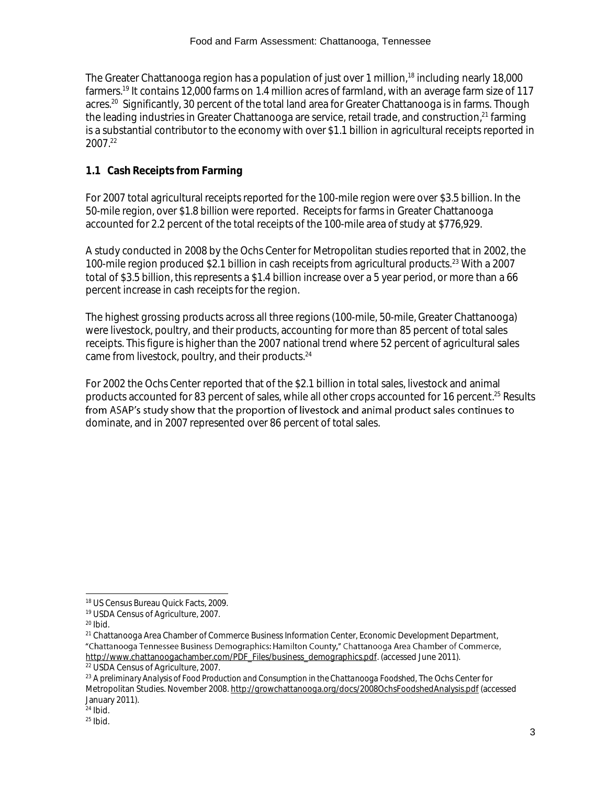The Greater Chattanooga region has a population of just over 1 million,<sup>18</sup> including nearly 18,000 farmers.<sup>19</sup> It contains 12,000 farms on 1.4 million acres of farmland, with an average farm size of 117 acres. 20 Significantly, 30 percent of the total land area for Greater Chattanooga is in farms. Though the leading industries in Greater Chattanooga are service, retail trade, and construction,<sup>21</sup> farming is a substantial contributor to the economy with over \$1.1 billion in agricultural receipts reported in 2007.<sup>22</sup>

# **1.1 Cash Receipts from Farming**

For 2007 total agricultural receipts reported for the 100-mile region were over \$3.5 billion. In the 50-mile region, over \$1.8 billion were reported. Receipts for farms in Greater Chattanooga accounted for 2.2 percent of the total receipts of the 100-mile area of study at \$776,929.

A study conducted in 2008 by the Ochs Center for Metropolitan studies reported that in 2002, the 100-mile region produced \$2.1 billion in cash receipts from agricultural products.<sup>23</sup> With a 2007 total of \$3.5 billion, this represents a \$1.4 billion increase over a 5 year period, or more than a 66 percent increase in cash receipts for the region.

The highest grossing products across all three regions (100-mile, 50-mile, Greater Chattanooga) were livestock, poultry, and their products, accounting for more than 85 percent of total sales receipts. This figure is higher than the 2007 national trend where 52 percent of agricultural sales came from livestock, poultry, and their products.<sup>24</sup>

For 2002 the Ochs Center reported that of the \$2.1 billion in total sales, livestock and animal products accounted for 83 percent of sales, while all other crops accounted for 16 percent. <sup>25</sup> Results from ASAP's study show that the proportion of livestock and animal product sales continues to dominate, and in 2007 represented over 86 percent of total sales.

l

<sup>18</sup> US Census Bureau Quick Facts, 2009.

<sup>19</sup> USDA Census of Agriculture, 2007.

<sup>20</sup> Ibid.

<sup>&</sup>lt;sup>21</sup> Chattanooga Area Chamber of Commerce Business Information Center, Economic Development Department,<br>"Chattanooga Tennessee Business Demographics: Hamilton County," Chattanooga Area Chamber of Commerce, [http://www.chattanoogachamber.com/PDF\\_Files/business\\_demographics.pdf.](http://www.chattanoogachamber.com/PDF_Files/business_demographics.pdf) (accessed June 2011).

<sup>22</sup> USDA Census of Agriculture, 2007.

<sup>23</sup> *A preliminary Analysis of Food Production and Consumption in the Chattanooga Foodshed,* The Ochs Center for Metropolitan Studies. November 2008.<http://growchattanooga.org/docs/2008OchsFoodshedAnalysis.pdf> (accessed January 2011).

 $24$  Ibid.

 $25$  Ibid.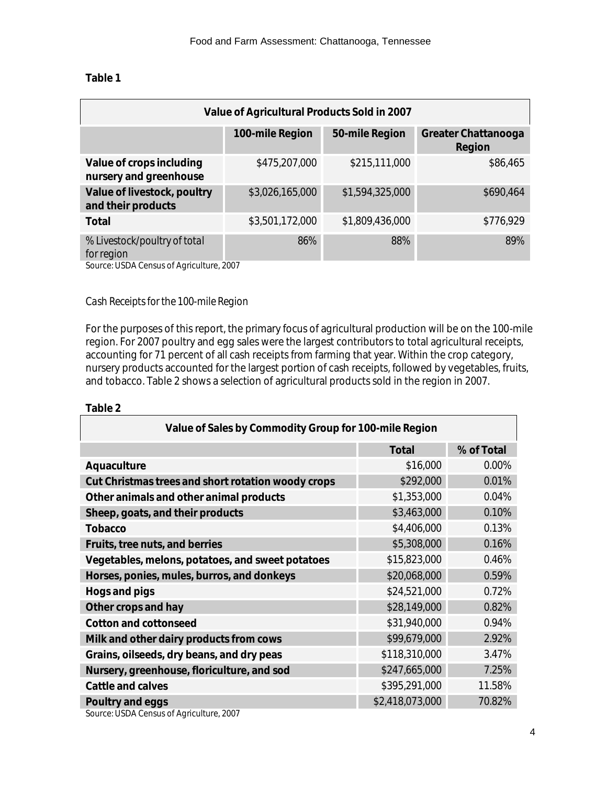# **Table 1**

| Value of Agricultural Products Sold in 2007        |                 |                 |                               |  |
|----------------------------------------------------|-----------------|-----------------|-------------------------------|--|
|                                                    | 100-mile Region | 50-mile Region  | Greater Chattanooga<br>Region |  |
| Value of crops including<br>nursery and greenhouse | \$475,207,000   | \$215,111,000   | \$86,465                      |  |
| Value of livestock, poultry<br>and their products  | \$3,026,165,000 | \$1,594,325,000 | \$690,464                     |  |
| Total                                              | \$3,501,172,000 | \$1,809,436,000 | \$776,929                     |  |
| % Livestock/poultry of total<br>for region         | 86%             | 88%             | 89%                           |  |

Source: USDA Census of Agriculture, 2007

#### *Cash Receipts for the 100-mile Region*

For the purposes of this report, the primary focus of agricultural production will be on the 100-mile region. For 2007 poultry and egg sales were the largest contributors to total agricultural receipts, accounting for 71 percent of all cash receipts from farming that year. Within the crop category, nursery products accounted for the largest portion of cash receipts, followed by vegetables, fruits, and tobacco. Table 2 shows a selection of agricultural products sold in the region in 2007.

#### **Table 2**

| Value of Sales by Commodity Group for 100-mile Region |               |            |  |
|-------------------------------------------------------|---------------|------------|--|
|                                                       | Total         | % of Total |  |
| Aquaculture                                           | \$16,000      | 0.00%      |  |
| Cut Christmas trees and short rotation woody crops    | \$292,000     | 0.01%      |  |
| Other animals and other animal products               | \$1,353,000   | 0.04%      |  |
| Sheep, goats, and their products                      | \$3,463,000   | 0.10%      |  |
| Tobacco                                               | \$4,406,000   | 0.13%      |  |
| Fruits, tree nuts, and berries                        | \$5,308,000   | 0.16%      |  |
| Vegetables, melons, potatoes, and sweet potatoes      | \$15,823,000  | 0.46%      |  |
| Horses, ponies, mules, burros, and donkeys            | \$20,068,000  | 0.59%      |  |
| Hogs and pigs                                         | \$24,521,000  | 0.72%      |  |
| Other crops and hay                                   | \$28,149,000  | 0.82%      |  |
| Cotton and cottonseed                                 | \$31,940,000  | 0.94%      |  |
| Milk and other dairy products from cows               | \$99,679,000  | 2.92%      |  |
| Grains, oilseeds, dry beans, and dry peas             | \$118,310,000 | 3.47%      |  |
| Nursery, greenhouse, floriculture, and sod            | \$247,665,000 | 7.25%      |  |
| Cattle and calves                                     | \$395,291,000 | 11.58%     |  |
| Poultry and eggs<br>\$2,418,073,000<br>70.82%         |               |            |  |

Source: USDA Census of Agriculture, 2007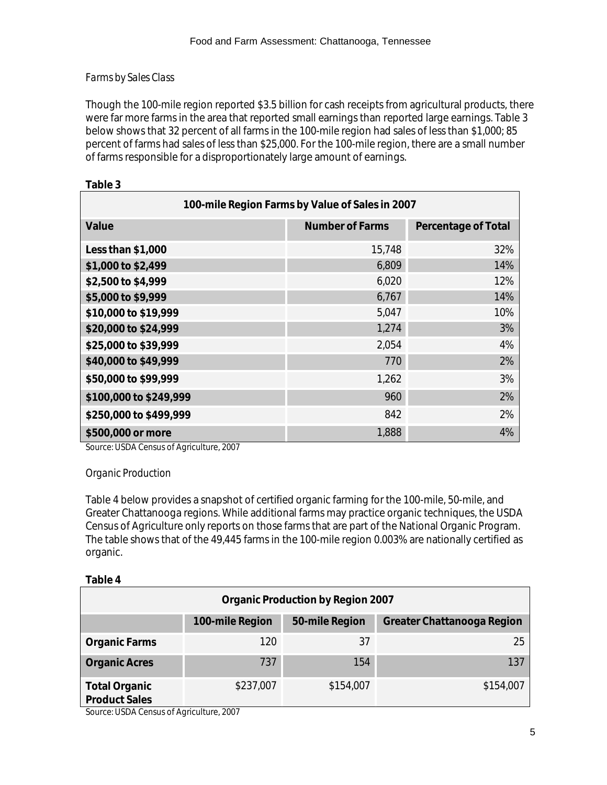# *Farms by Sales Class*

Though the 100-mile region reported \$3.5 billion for cash receipts from agricultural products, there were far more farms in the area that reported small earnings than reported large earnings. Table 3 below shows that 32 percent of all farms in the 100-mile region had sales of less than \$1,000; 85 percent of farms had sales of less than \$25,000. For the 100-mile region, there are a small number of farms responsible for a disproportionately large amount of earnings.

| 100-mile Region Farms by Value of Sales in 2007 |                 |                     |  |  |
|-------------------------------------------------|-----------------|---------------------|--|--|
| Value                                           | Number of Farms | Percentage of Total |  |  |
| Less than \$1,000                               | 15,748          | 32%                 |  |  |
| \$1,000 to \$2,499                              | 6,809           | 14%                 |  |  |
| \$2,500 to \$4,999                              | 6,020           | 12%                 |  |  |
| \$5,000 to \$9,999                              | 6,767           | 14%                 |  |  |
| \$10,000 to \$19,999                            | 5,047           | 10%                 |  |  |
| \$20,000 to \$24,999                            | 1,274           | 3%                  |  |  |
| \$25,000 to \$39,999                            | 2,054           | 4%                  |  |  |
| \$40,000 to \$49,999                            | 770             | 2%                  |  |  |
| \$50,000 to \$99,999                            | 1,262           | 3%                  |  |  |
| \$100,000 to \$249,999                          | 960             | 2%                  |  |  |
| \$250,000 to \$499,999                          | 842             | 2%                  |  |  |
| \$500,000 or more                               | 1,888           | 4%                  |  |  |

# **Table 3**

Source: USDA Census of Agriculture, 2007

# *Organic Production*

Table 4 below provides a snapshot of certified organic farming for the 100-mile, 50-mile, and Greater Chattanooga regions. While additional farms may practice organic techniques, the USDA Census of Agriculture only reports on those farms that are part of the National Organic Program. The table shows that of the 49,445 farms in the 100-mile region 0.003% are nationally certified as organic.

#### **Table 4**

| Organic Production by Region 2007                               |           |           |           |  |  |
|-----------------------------------------------------------------|-----------|-----------|-----------|--|--|
| 50-mile Region<br>100-mile Region<br>Greater Chattanooga Region |           |           |           |  |  |
| Organic Farms                                                   | 120       | 37        | 25        |  |  |
| <b>Organic Acres</b>                                            | 737       | 154       | 137       |  |  |
| Total Organic<br>Product Sales                                  | \$237,007 | \$154,007 | \$154,007 |  |  |

Source: USDA Census of Agriculture, 2007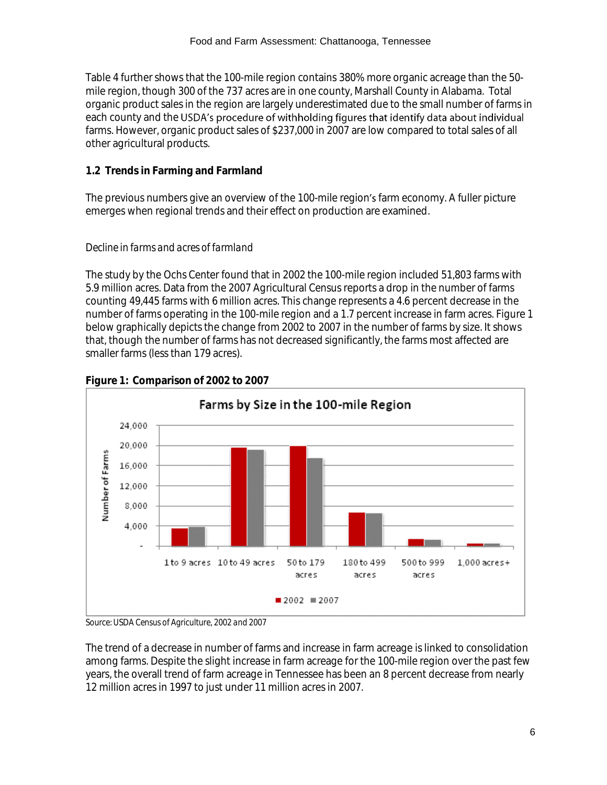#### Food and Farm Assessment: Chattanooga, Tennessee

Table 4 further shows that the 100-mile region contains 380% more organic acreage than the 50 mile region, though 300 of the 737 acres are in one county, Marshall County in Alabama. Total organic product sales in the region are largely underestimated due to the small number of farms in each county and the USDA's procedure of withholding figures that identify data about individual farms. However, organic product sales of \$237,000 in 2007 are low compared to total sales of all other agricultural products.

# **1.2 Trends in Farming and Farmland**

The previous numbers give an overview of the 100-mile region's farm economy. A fuller picture emerges when regional trends and their effect on production are examined.

# *Decline in farms and acres of farmland*

The study by the Ochs Center found that in 2002 the 100-mile region included 51,803 farms with 5.9 million acres. Data from the 2007 Agricultural Census reports a drop in the number of farms counting 49,445 farms with 6 million acres. This change represents a 4.6 percent decrease in the number of farms operating in the 100-mile region and a 1.7 percent increase in farm acres. Figure 1 below graphically depicts the change from 2002 to 2007 in the number of farms by size. It shows that, though the number of farms has not decreased significantly, the farms most affected are smaller farms (less than 179 acres).



# **Figure 1: Comparison of 2002 to 2007**

*Source: USDA Census of Agriculture, 2002 and 2007*

The trend of a decrease in number of farms and increase in farm acreage is linked to consolidation among farms. Despite the slight increase in farm acreage for the 100-mile region over the past few years, the overall trend of farm acreage in Tennessee has been an 8 percent decrease from nearly 12 million acres in 1997 to just under 11 million acres in 2007.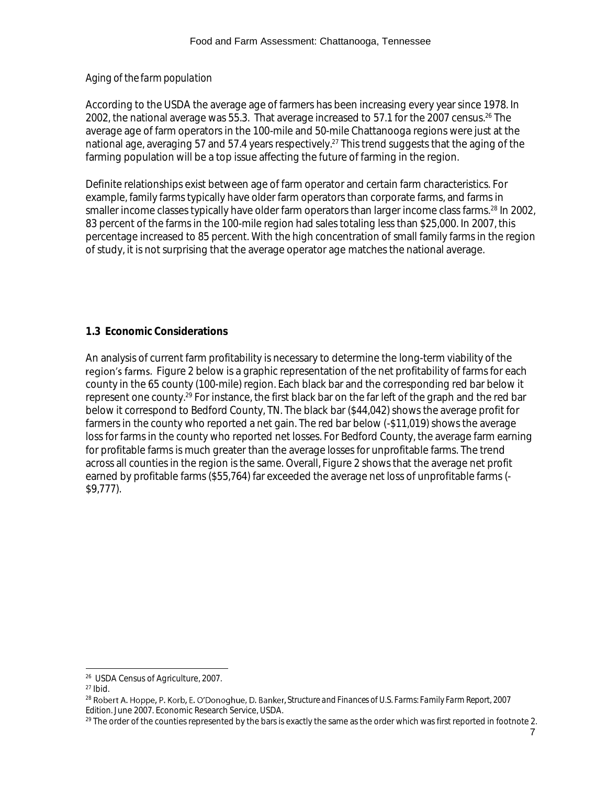# *Aging of the farm population*

According to the USDA the average age of farmers has been increasing every year since 1978. In 2002, the national average was 55.3. That average increased to 57.1 for the 2007 census.<sup>26</sup> The average age of farm operators in the 100-mile and 50-mile Chattanooga regions were just at the national age, averaging 57 and 57.4 years respectively.<sup>27</sup> This trend suggests that the aging of the farming population will be a top issue affecting the future of farming in the region.

Definite relationships exist between age of farm operator and certain farm characteristics. For example, family farms typically have older farm operators than corporate farms, and farms in smaller income classes typically have older farm operators than larger income class farms.<sup>28</sup> In 2002, 83 percent of the farms in the 100-mile region had sales totaling less than \$25,000. In 2007, this percentage increased to 85 percent. With the high concentration of small family farms in the region of study, it is not surprising that the average operator age matches the national average.

# **1.3 Economic Considerations**

An analysis of current farm profitability is necessary to determine the long-term viability of the region's farms. Figure 2 below is a graphic representation of the net profitability of farms for each county in the 65 county (100-mile) region. Each black bar and the corresponding red bar below it represent one county.<sup>29</sup> For instance, the first black bar on the far left of the graph and the red bar below it correspond to Bedford County, TN. The black bar (\$44,042) shows the average profit for farmers in the county who reported a net gain. The red bar below (-\$11,019) shows the average loss for farms in the county who reported net losses. For Bedford County, the average farm earning for profitable farms is much greater than the average losses for unprofitable farms. The trend across all counties in the region is the same. Overall, Figure 2 shows that the average net profit earned by profitable farms (\$55,764) far exceeded the average net loss of unprofitable farms (- \$9,777).

l 26 USDA Census of Agriculture, 2007.

 $27$  Ibid.

<sup>&</sup>lt;sup>28</sup> Robert A. Hoppe, P. Korb, E. O'Donoghue, D. Banker, Structure and Finances of U.S. Farms: Family Farm Report, 2007 *Edition.* June 2007. Economic Research Service, USDA.

 $^{29}$  The order of the counties represented by the bars is exactly the same as the order which was first reported in footnote 2.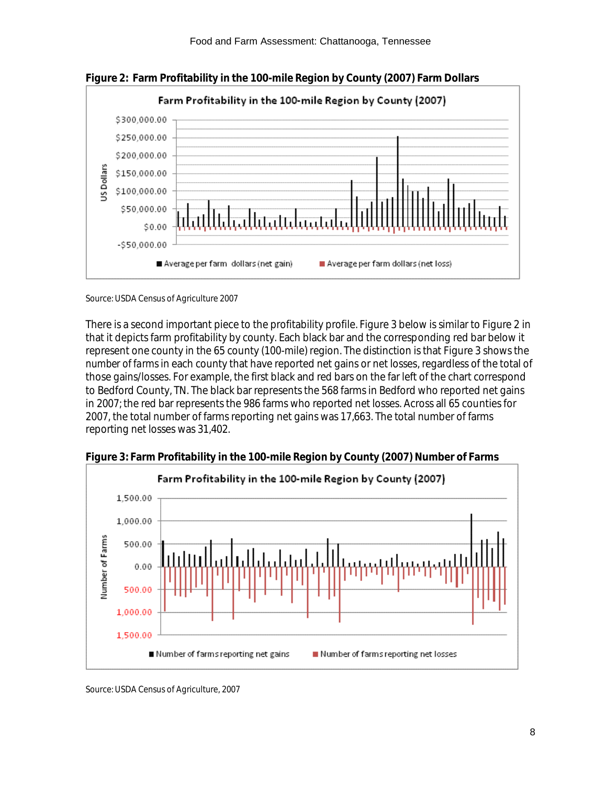

**Figure 2: Farm Profitability in the 100-mile Region by County (2007) Farm Dollars** 

Source: USDA Census of Agriculture 2007

There is a second important piece to the profitability profile. Figure 3 below is similar to Figure 2 in that it depicts farm profitability by county. Each black bar and the corresponding red bar below it represent one county in the 65 county (100-mile) region. The distinction is that Figure 3 shows the *number of farms* in each county that have reported net gains or net losses, regardless of the total of those gains/losses. For example, the first black and red bars on the far left of the chart correspond to Bedford County, TN. The black bar represents the 568 farms in Bedford who reported net gains in 2007; the red bar represents the 986 farms who reported net losses. Across all 65 counties for 2007, the total number of farms reporting net gains was 17,663. The total number of farms reporting net losses was 31,402.



**Figure 3: Farm Profitability in the 100-mile Region by County (2007) Number of Farms**

Source: USDA Census of Agriculture, 2007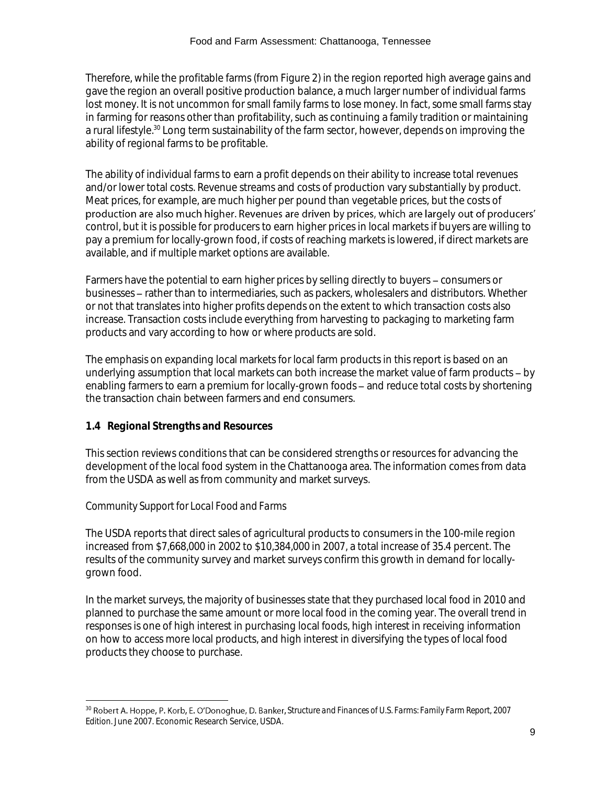Therefore, while the profitable farms (from Figure 2) in the region reported high average gains and gave the region an overall positive production balance, a much larger number of individual farms lost money. It is not uncommon for small family farms to lose money. In fact, some small farms stay in farming for reasons other than profitability, such as continuing a family tradition or maintaining a rural lifestyle.<sup>30</sup> Long term sustainability of the farm sector, however, depends on improving the ability of regional farms to be profitable.

The ability of individual farms to earn a profit depends on their ability to increase total revenues and/or lower total costs. Revenue streams and costs of production vary substantially by product. Meat prices, for example, are much higher per pound than vegetable prices, but the costs of production are also much higher. Revenues are driven by prices, which are largely out of producers' control, but it is possible for producers to earn higher prices in local markets if buyers are willing to pay a premium for locally-grown food, if costs of reaching markets is lowered, if direct markets are available, and if multiple market options are available.

Farmers have the potential to earn higher prices by selling directly to buyers – consumers or businesses - rather than to intermediaries, such as packers, wholesalers and distributors. Whether or not that translates into higher profits depends on the extent to which transaction costs also increase. Transaction costs include everything from harvesting to packaging to marketing farm products and vary according to how or where products are sold.

The emphasis on expanding local markets for local farm products in this report is based on an underlying assumption that local markets can both increase the market value of farm products - by enabling farmers to earn a premium for locally-grown foods – and reduce total costs by shortening the transaction chain between farmers and end consumers.

# **1.4 Regional Strengths and Resources**

This section reviews conditions that can be considered strengths or resources for advancing the development of the local food system in the Chattanooga area. The information comes from data from the USDA as well as from community and market surveys.

# *Community Support for Local Food and Farms*

l

The USDA reports that direct sales of agricultural products to consumers in the 100-mile region increased from \$7,668,000 in 2002 to \$10,384,000 in 2007, a total increase of 35.4 percent. The results of the community survey and market surveys confirm this growth in demand for locallygrown food.

In the market surveys, the majority of businesses state that they purchased local food in 2010 and planned to purchase the same amount or more local food in the coming year. The overall trend in responses is one of high interest in purchasing local foods, high interest in receiving information on how to access more local products, and high interest in diversifying the types of local food products they choose to purchase.

<sup>&</sup>lt;sup>30</sup> Robert A. Hoppe, P. Korb, E. O'Donoghue, D. Banker, Structure and Finances of U.S. Farms: Family Farm Report, 2007 *Edition.* June 2007. Economic Research Service, USDA.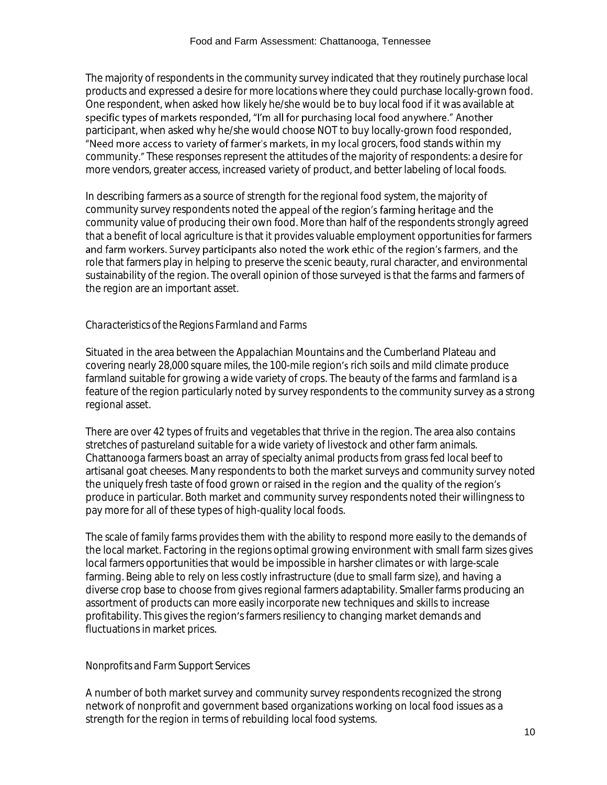The majority of respondents in the community survey indicated that they routinely purchase local products and expressed a desire for more locations where they could purchase locally-grown food. One respondent, when asked how likely he/she would be to buy local food if it was available at specific types of markets responded, "I'm all for purchasing local food anywhere." Another participant, when asked why he/she would choose NOT to buy locally-grown food responded, "Need more access to variety of farmer's markets, in my local grocers, food stands within my community." These responses represent the attitudes of the majority of respondents: a desire for more vendors, greater access, increased variety of product, and better labeling of local foods.

In describing farmers as a source of strength for the regional food system, the majority of community survey respondents noted the appeal of the region's farming heritage and the community value of producing their own food. More than half of the respondents strongly agreed that a benefit of local agriculture is that it provides valuable employment opportunities for farmers and farm workers. Survey participants also noted the work ethic of the region's farmers, and the role that farmers play in helping to preserve the scenic beauty, rural character, and environmental sustainability of the region. The overall opinion of those surveyed is that the farms and farmers of the region are an important asset.

# *Characteristics of the Regions Farmland and Farms*

Situated in the area between the Appalachian Mountains and the Cumberland Plateau and covering nearly 28,000 square miles, the 100-mile region's rich soils and mild climate produce farmland suitable for growing a wide variety of crops. The beauty of the farms and farmland is a feature of the region particularly noted by survey respondents to the community survey as a strong regional asset.

There are over 42 types of fruits and vegetables that thrive in the region. The area also contains stretches of pastureland suitable for a wide variety of livestock and other farm animals. Chattanooga farmers boast an array of specialty animal products from grass fed local beef to artisanal goat cheeses. Many respondents to both the market surveys and community survey noted the uniquely fresh taste of food grown or raised in the region and the quality of the region's produce in particular. Both market and community survey respondents noted their willingness to pay more for all of these types of high-quality local foods.

The scale of family farms provides them with the ability to respond more easily to the demands of the local market. Factoring in the regions optimal growing environment with small farm sizes gives local farmers opportunities that would be impossible in harsher climates or with large-scale farming. Being able to rely on less costly infrastructure (due to small farm size), and having a diverse crop base to choose from gives regional farmers adaptability. Smaller farms producing an assortment of products can more easily incorporate new techniques and skills to increase profitability. This gives the region's farmers resiliency to changing market demands and fluctuations in market prices.

# *Nonprofits and Farm Support Services*

A number of both market survey and community survey respondents recognized the strong network of nonprofit and government based organizations working on local food issues as a strength for the region in terms of rebuilding local food systems.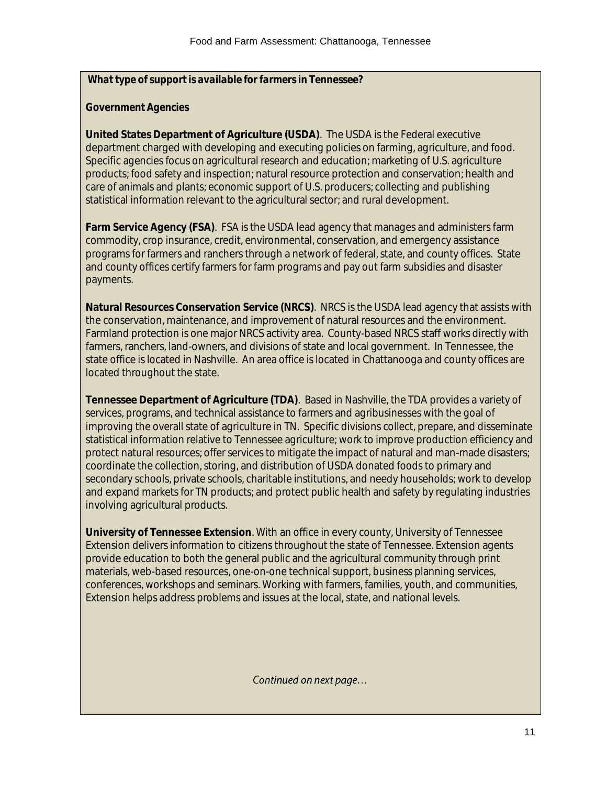*What type of support is available for farmers in Tennessee?*

# *Government Agencies*

**United States Department of Agriculture (USDA)**. The USDA is the Federal executive department charged with developing and executing policies on farming, agriculture, and food. Specific agencies focus on agricultural research and education; marketing of U.S. agriculture products; food safety and inspection; natural resource protection and conservation; health and care of animals and plants; economic support of U.S. producers; collecting and publishing statistical information relevant to the agricultural sector; and rural development.

**Farm Service Agency (FSA)**. FSA is the USDA lead agency that manages and administers farm commodity, crop insurance, credit, environmental, conservation, and emergency assistance programs for farmers and ranchers through a network of federal, state, and county offices. State and county offices certify farmers for farm programs and pay out farm subsidies and disaster payments.

**Natural Resources Conservation Service (NRCS)**. NRCS is the USDA lead agency that assists with the conservation, maintenance, and improvement of natural resources and the environment. Farmland protection is one major NRCS activity area. County-based NRCS staff works directly with farmers, ranchers, land-owners, and divisions of state and local government. In Tennessee, the state office is located in Nashville. An area office is located in Chattanooga and county offices are located throughout the state.

**Tennessee Department of Agriculture (TDA)**. Based in Nashville, the TDA provides a variety of services, programs, and technical assistance to farmers and agribusinesses with the goal of improving the overall state of agriculture in TN. Specific divisions collect, prepare, and disseminate statistical information relative to Tennessee agriculture; work to improve production efficiency and protect natural resources; offer services to mitigate the impact of natural and man-made disasters; coordinate the collection, storing, and distribution of USDA donated foods to primary and secondary schools, private schools, charitable institutions, and needy households; work to develop and expand markets for TN products; and protect public health and safety by regulating industries involving agricultural products.

**University of Tennessee Extension**. With an office in every county, University of Tennessee Extension delivers information to citizens throughout the state of Tennessee. Extension agents provide education to both the general public and the agricultural community through print materials, web-based resources, one-on-one technical support, business planning services, conferences, workshops and seminars. Working with farmers, families, youth, and communities, Extension helps address problems and issues at the local, state, and national levels.

Continued on next page...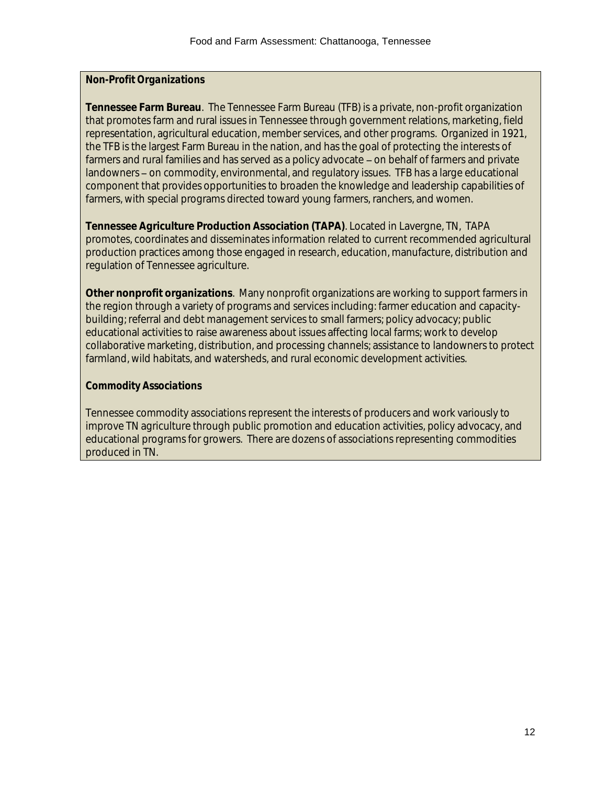# *Non-Profit Organizations*

**Tennessee Farm Bureau**. The Tennessee Farm Bureau (TFB) is a private, non-profit organization that promotes farm and rural issues in Tennessee through government relations, marketing, field representation, agricultural education, member services, and other programs. Organized in 1921, the TFB is the largest Farm Bureau in the nation, and has the goal of protecting the interests of farmers and rural families and has served as a policy advocate – on behalf of farmers and private landowners - on commodity, environmental, and regulatory issues. TFB has a large educational component that provides opportunities to broaden the knowledge and leadership capabilities of farmers, with special programs directed toward young farmers, ranchers, and women.

**Tennessee Agriculture Production Association (TAPA)**. Located in Lavergne, TN, TAPA promotes, coordinates and disseminates information related to current recommended agricultural production practices among those engaged in research, education, manufacture, distribution and regulation of Tennessee agriculture.

**Other nonprofit organizations**. Many nonprofit organizations are working to support farmers in the region through a variety of programs and services including: farmer education and capacitybuilding; referral and debt management services to small farmers; policy advocacy; public educational activities to raise awareness about issues affecting local farms; work to develop collaborative marketing, distribution, and processing channels; assistance to landowners to protect farmland, wild habitats, and watersheds, and rural economic development activities.

# *Commodity Associations*

Tennessee commodity associations represent the interests of producers and work variously to improve TN agriculture through public promotion and education activities, policy advocacy, and educational programs for growers. There are dozens of associations representing commodities produced in TN.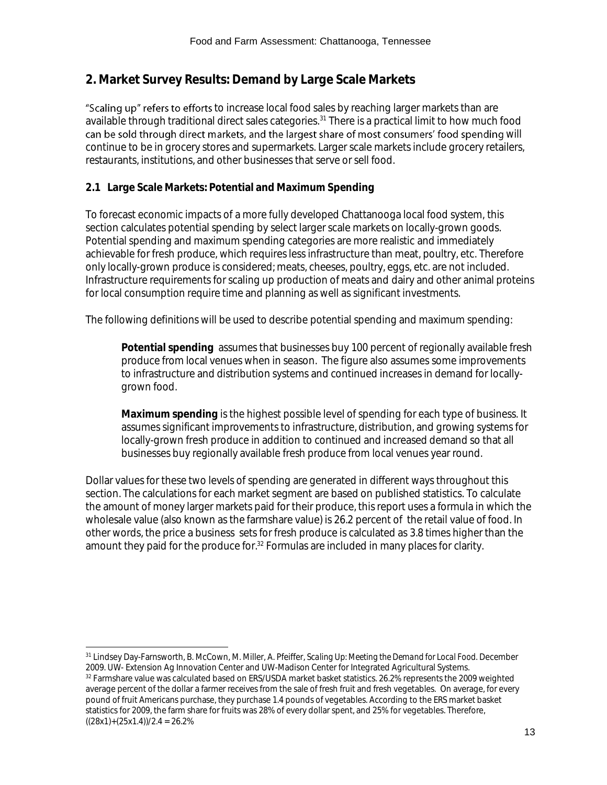# **2. Market Survey Results: Demand by Large Scale Markets**

"Scaling up" refers to efforts to increase local food sales by reaching larger markets than are available through traditional direct sales categories.<sup>31</sup> There is a practical limit to how much food can be sold through direct markets, and the largest share of most consumers' food spending will continue to be in grocery stores and supermarkets. Larger scale markets include grocery retailers, restaurants, institutions, and other businesses that serve or sell food.

# **2.1 Large Scale Markets: Potential and Maximum Spending**

To forecast economic impacts of a more fully developed Chattanooga local food system, this section calculates potential spending by select larger scale markets on locally-grown goods. Potential spending and maximum spending categories are more realistic and immediately achievable for fresh produce, which requires less infrastructure than meat, poultry, etc. Therefore only locally-grown produce is considered; meats, cheeses, poultry, eggs, etc. are not included. Infrastructure requirements for scaling up production of meats and dairy and other animal proteins for local consumption require time and planning as well as significant investments.

The following definitions will be used to describe potential spending and maximum spending:

**Potential spending** assumes that businesses buy 100 percent of regionally available fresh produce from local venues when in season. The figure also assumes some improvements to infrastructure and distribution systems and continued increases in demand for locallygrown food.

**Maximum spending** is the highest possible level of spending for each type of business. It assumes significant improvements to infrastructure, distribution, and growing systems for locally-grown fresh produce in addition to continued and increased demand so that all businesses buy regionally available fresh produce from local venues year round.

Dollar values for these two levels of spending are generated in different ways throughout this section. The calculations for each market segment are based on published statistics. To calculate the amount of money larger markets paid for their produce, this report uses a formula in which the wholesale value (also known as the farmshare value) is 26.2 percent of the retail value of food. In other words, the price a business sets for fresh produce is calculated as 3.8 times higher than the amount they paid for the produce for.<sup>32</sup> Formulas are included in many places for clarity.

l <sup>31</sup> Lindsey Day-Farnsworth, B. McCown, M. Miller, A. Pfeiffer, *Scaling Up: Meeting the Demand for Local Food.* December 2009. UW- Extension Ag Innovation Center and UW-Madison Center for Integrated Agricultural Systems.

<sup>32</sup> Farmshare value was calculated based on ERS/USDA market basket statistics. 26.2% represents the 2009 weighted average percent of the dollar a farmer receives from the sale of fresh fruit and fresh vegetables. On average, for every pound of fruit Americans purchase, they purchase 1.4 pounds of vegetables. According to the ERS market basket statistics for 2009, the farm share for fruits was 28% of every dollar spent, and 25% for vegetables. Therefore,  $((28x1)+(25x1.4))/2.4 = 26.2%$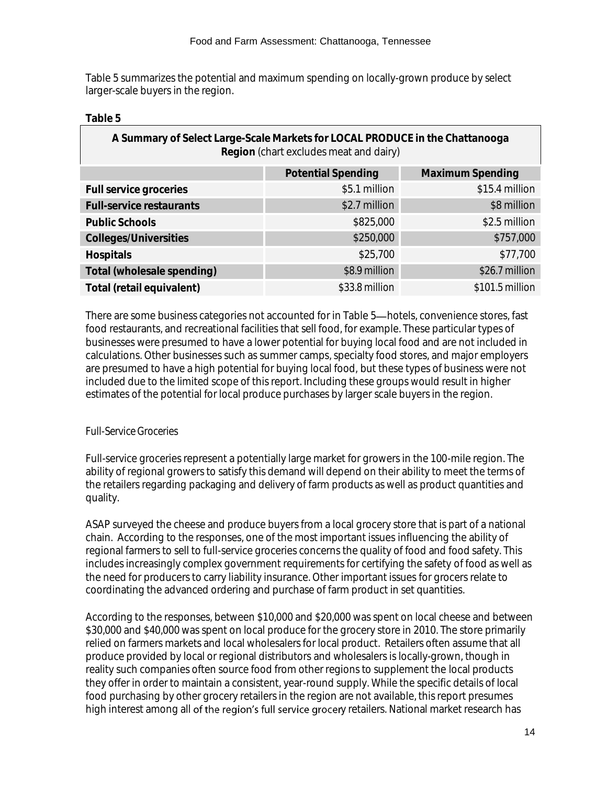Table 5 summarizes the potential and maximum spending on locally-grown produce by select larger-scale buyers in the region.

# **Table 5**

| A Summary of Select Large-Scale Markets for LOCAL PRODUCE in the Chattanooga |
|------------------------------------------------------------------------------|
| Region (chart excludes meat and dairy)                                       |

|                            | <b>Potential Spending</b> | Maximum Spending |
|----------------------------|---------------------------|------------------|
| Full service groceries     | \$5.1 million             | \$15.4 million   |
| Full-service restaurants   | \$2.7 million             | \$8 million      |
| Public Schools             | \$825,000                 | \$2.5 million    |
| Colleges/Universities      | \$250,000                 | \$757,000        |
| Hospitals                  | \$25,700                  | \$77,700         |
| Total (wholesale spending) | \$8.9 million             | \$26.7 million   |
| Total (retail equivalent)  | $$33.8$ million           | $$101.5$ million |

There are some business categories not accounted for in Table 5—hotels, convenience stores, fast food restaurants, and recreational facilities that sell food, for example. These particular types of businesses were presumed to have a lower potential for buying local food and are not included in calculations. Other businesses such as summer camps, specialty food stores, and major employers are presumed to have a high potential for buying local food, but these types of business were not included due to the limited scope of this report. Including these groups would result in higher estimates of the potential for local produce purchases by larger scale buyers in the region.

# *Full-Service Groceries*

Full-service groceries represent a potentially large market for growers in the 100-mile region. The ability of regional growers to satisfy this demand will depend on their ability to meet the terms of the retailers regarding packaging and delivery of farm products as well as product quantities and quality.

ASAP surveyed the cheese and produce buyers from a local grocery store that is part of a national chain. According to the responses, one of the most important issues influencing the ability of regional farmers to sell to full-service groceries concerns the quality of food and food safety. This includes increasingly complex government requirements for certifying the safety of food as well as the need for producers to carry liability insurance. Other important issues for grocers relate to coordinating the advanced ordering and purchase of farm product in set quantities.

According to the responses, between \$10,000 and \$20,000 was spent on local cheese and between \$30,000 and \$40,000 was spent on local produce for the grocery store in 2010. The store primarily relied on farmers markets and local wholesalers for local product. Retailers often assume that all produce provided by local or regional distributors and wholesalers is locally-grown, though in reality such companies often source food from other regions to supplement the local products they offer in order to maintain a consistent, year-round supply. While the specific details of local food purchasing by other grocery retailers in the region are not available, this report presumes high interest among all of the region's full service grocery retailers. National market research has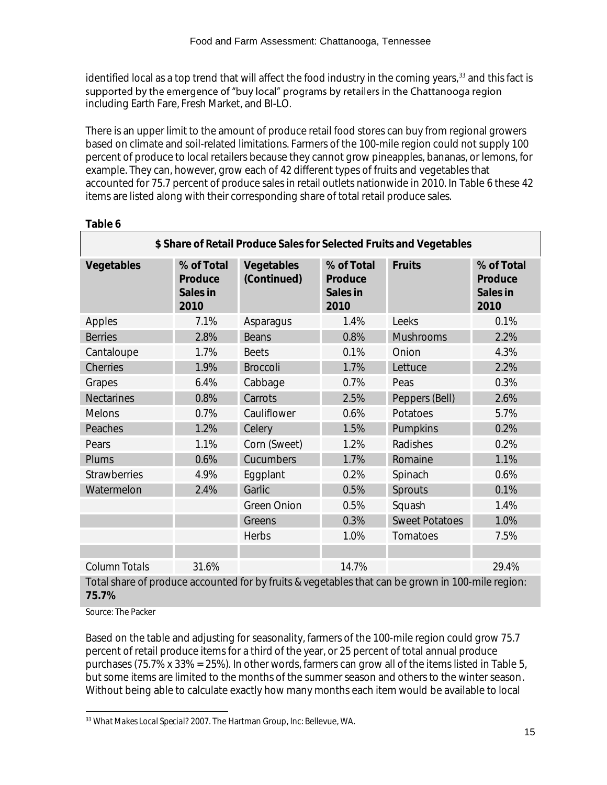identified local as a top trend that will affect the food industry in the coming years,<sup>33</sup> and this fact is supported by the emergence of "buy local" programs by retailers in the Chattanooga region including Earth Fare, Fresh Market, and BI-LO.

There is an upper limit to the amount of produce retail food stores can buy from regional growers based on climate and soil-related limitations. Farmers of the 100-mile region could not supply 100 percent of produce to local retailers because they cannot grow pineapples, bananas, or lemons, for example. They can, however, grow each of 42 different types of fruits and vegetables that accounted for 75.7 percent of produce sales in retail outlets nationwide in 2010. In Table 6 these 42 items are listed along with their corresponding share of total retail produce sales.

| \$ Share of Retail Produce Sales for Selected Fruits and Vegetables                                        |                                           |                           |                                           |                       |                                           |
|------------------------------------------------------------------------------------------------------------|-------------------------------------------|---------------------------|-------------------------------------------|-----------------------|-------------------------------------------|
| Vegetables                                                                                                 | % of Total<br>Produce<br>Sales in<br>2010 | Vegetables<br>(Continued) | % of Total<br>Produce<br>Sales in<br>2010 | Fruits                | % of Total<br>Produce<br>Sales in<br>2010 |
| Apples                                                                                                     | 7.1%                                      | Asparagus                 | 1.4%                                      | Leeks                 | 0.1%                                      |
| <b>Berries</b>                                                                                             | 2.8%                                      | Beans                     | 0.8%                                      | Mushrooms             | 2.2%                                      |
| Cantaloupe                                                                                                 | 1.7%                                      | <b>Beets</b>              | 0.1%                                      | Onion                 | 4.3%                                      |
| Cherries                                                                                                   | 1.9%                                      | <b>Broccoli</b>           | 1.7%                                      | Lettuce               | 2.2%                                      |
| Grapes                                                                                                     | 6.4%                                      | Cabbage                   | 0.7%                                      | Peas                  | 0.3%                                      |
| <b>Nectarines</b>                                                                                          | 0.8%                                      | Carrots                   | 2.5%                                      | Peppers (Bell)        | 2.6%                                      |
| Melons                                                                                                     | 0.7%                                      | Cauliflower               | 0.6%                                      | Potatoes              | 5.7%                                      |
| Peaches                                                                                                    | 1.2%                                      | Celery                    | 1.5%                                      | Pumpkins              | 0.2%                                      |
| Pears                                                                                                      | 1.1%                                      | Corn (Sweet)              | 1.2%                                      | Radishes              | 0.2%                                      |
| Plums                                                                                                      | 0.6%                                      | Cucumbers                 | 1.7%                                      | Romaine               | 1.1%                                      |
| <b>Strawberries</b>                                                                                        | 4.9%                                      | Eggplant                  | 0.2%                                      | Spinach               | 0.6%                                      |
| Watermelon                                                                                                 | 2.4%                                      | Garlic                    | 0.5%                                      | Sprouts               | 0.1%                                      |
|                                                                                                            |                                           | Green Onion               | 0.5%                                      | Squash                | 1.4%                                      |
|                                                                                                            |                                           | Greens                    | 0.3%                                      | <b>Sweet Potatoes</b> | 1.0%                                      |
|                                                                                                            |                                           | Herbs                     | 1.0%                                      | Tomatoes              | 7.5%                                      |
|                                                                                                            |                                           |                           |                                           |                       |                                           |
| Column Totals                                                                                              | 31.6%                                     |                           | 14.7%                                     |                       | 29.4%                                     |
| Total share of produce accounted for by fruits & vegetables that can be grown in 100-mile region:<br>75.7% |                                           |                           |                                           |                       |                                           |

**Table 6**

Source: The Packer

Based on the table and adjusting for seasonality, farmers of the 100-mile region could grow 75.7 percent of retail produce items for a third of the year, or 25 percent of total annual produce purchases (75.7% x 33% = 25%). In other words, farmers can grow all of the items listed in Table 5, but some items are limited to the months of the summer season and others to the winter season. Without being able to calculate exactly how many months each item would be available to local

l <sup>33</sup> *What Makes Local Special?* 2007. The Hartman Group, Inc: Bellevue, WA.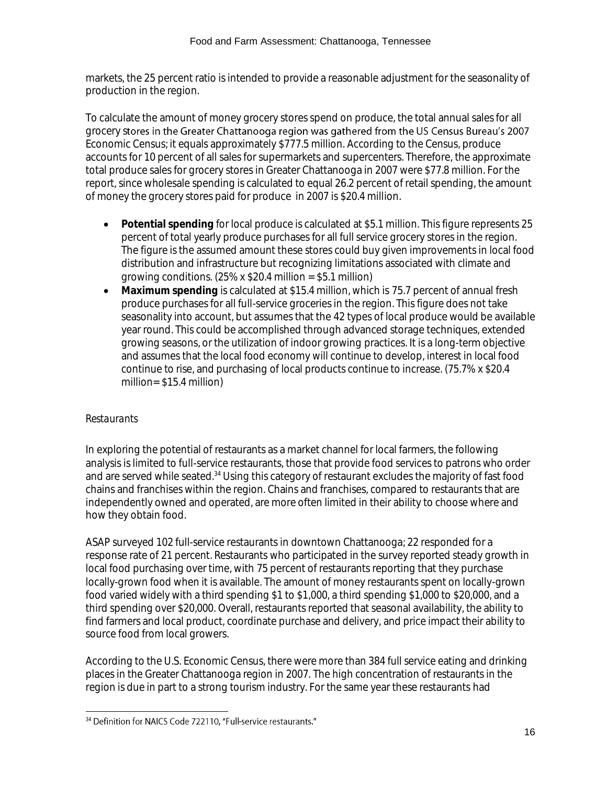markets, the 25 percent ratio is intended to provide a reasonable adjustment for the seasonality of production in the region.

To calculate the amount of money grocery stores spend on produce, the total annual sales for all grocery stores in the Greater Chattanooga region was gathered from the US Census Bureau's 2007 Economic Census; it equals approximately \$777.5 million. According to the Census, produce accounts for 10 percent of all sales for supermarkets and supercenters. Therefore, the approximate total produce sales for grocery stores in Greater Chattanooga in 2007 were \$77.8 million. For the report, since wholesale spending is calculated to equal 26.2 percent of retail spending, the amount of money the grocery stores paid for produce in 2007 is \$20.4 million.

- **Potential spending** for local produce is calculated at \$5.1 million. This figure represents 25 percent of total yearly produce purchases for all full service grocery stores in the region. The figure is the assumed amount these stores could buy given improvements in local food distribution and infrastructure but recognizing limitations associated with climate and growing conditions.  $(25\% \times $20.4 \text{ million} = $5.1 \text{ million})$
- **Maximum spending** is calculated at \$15.4 million, which is 75.7 percent of annual fresh produce purchases for all full-service groceries in the region. This figure does not take seasonality into account, but assumes that the 42 types of local produce would be available year round. This could be accomplished through advanced storage techniques, extended growing seasons, or the utilization of indoor growing practices. It is a long-term objective and assumes that the local food economy will continue to develop, interest in local food continue to rise, and purchasing of local products continue to increase. (75.7% x \$20.4 million= \$15.4 million)

# *Restaurants*

In exploring the potential of restaurants as a market channel for local farmers, the following analysis is limited to full-service restaurants, those that provide food services to patrons who order and are served while seated.<sup>34</sup> Using this category of restaurant excludes the majority of fast food chains and franchises within the region. Chains and franchises, compared to restaurants that are independently owned and operated, are more often limited in their ability to choose where and how they obtain food.

ASAP surveyed 102 full-service restaurants in downtown Chattanooga; 22 responded for a response rate of 21 percent. Restaurants who participated in the survey reported steady growth in local food purchasing over time, with 75 percent of restaurants reporting that they purchase locally-grown food when it is available. The amount of money restaurants spent on locally-grown food varied widely with a third spending \$1 to \$1,000, a third spending \$1,000 to \$20,000, and a third spending over \$20,000. Overall, restaurants reported that seasonal availability, the ability to find farmers and local product, coordinate purchase and delivery, and price impact their ability to source food from local growers.

According to the U.S. Economic Census, there were more than 384 full service eating and drinking places in the Greater Chattanooga region in 2007. The high concentration of restaurants in the region is due in part to a strong tourism industry. For the same year these restaurants had

l <sup>34</sup> Definition for NAICS Code 722110, "Full-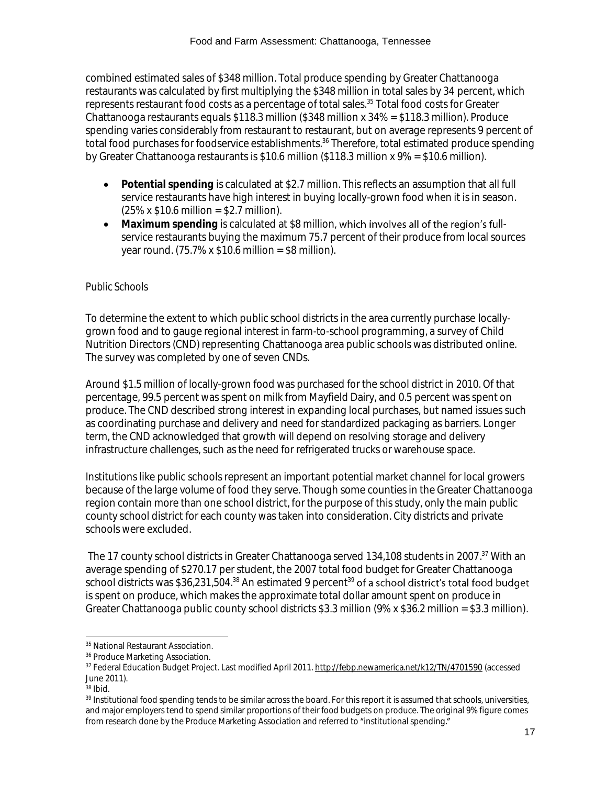combined estimated sales of \$348 million. Total produce spending by Greater Chattanooga restaurants was calculated by first multiplying the \$348 million in total sales by 34 percent, which represents restaurant food costs as a percentage of total sales.<sup>35</sup> Total food costs for Greater Chattanooga restaurants equals \$118.3 million (\$348 million x 34% = \$118.3 million). Produce spending varies considerably from restaurant to restaurant, but on average represents 9 percent of total food purchases for foodservice establishments.<sup>36</sup> Therefore, total estimated produce spending by Greater Chattanooga restaurants is \$10.6 million (\$118.3 million x 9% = \$10.6 million).

- **Potential spending** is calculated at \$2.7 million. This reflects an assumption that all full service restaurants have high interest in buying locally-grown food when it is in season.  $(25\% \times $10.6 \text{ million} = $2.7 \text{ million})$ .
- Maximum spending is calculated at \$8 million, which involves all of the region's fullservice restaurants buying the maximum 75.7 percent of their produce from local sources year round.  $(75.7\% \times $10.6 \text{ million} = $8 \text{ million})$ .

# *Public Schools*

To determine the extent to which public school districts in the area currently purchase locallygrown food and to gauge regional interest in farm-to-school programming, a survey of Child Nutrition Directors (CND) representing Chattanooga area public schools was distributed online. The survey was completed by one of seven CNDs.

Around \$1.5 million of locally-grown food was purchased for the school district in 2010. Of that percentage, 99.5 percent was spent on milk from Mayfield Dairy, and 0.5 percent was spent on produce. The CND described strong interest in expanding local purchases, but named issues such as coordinating purchase and delivery and need for standardized packaging as barriers. Longer term, the CND acknowledged that growth will depend on resolving storage and delivery infrastructure challenges, such as the need for refrigerated trucks or warehouse space.

Institutions like public schools represent an important potential market channel for local growers because of the large volume of food they serve. Though some counties in the Greater Chattanooga region contain more than one school district, for the purpose of this study, only the main public county school district for each county was taken into consideration. City districts and private schools were excluded.

The 17 county school districts in Greater Chattanooga served 134,108 students in 2007. <sup>37</sup> With an average spending of \$270.17 per student, the 2007 total food budget for Greater Chattanooga school districts was \$36,231,504.<sup>38</sup> An estimated 9 percent<sup>39</sup> of a school district's total food budget is spent on produce, which makes the approximate total dollar amount spent on produce in Greater Chattanooga public county school districts \$3.3 million ( $9\% \times $36.2$  million = \$3.3 million).

<sup>38</sup> Ibid.

l

<sup>&</sup>lt;sup>35</sup> National Restaurant Association.

<sup>36</sup> Produce Marketing Association.

<sup>37</sup> Federal Education Budget Project. Last modified April 2011.<http://febp.newamerica.net/k12/TN/4701590> (accessed June 2011).

<sup>&</sup>lt;sup>39</sup> Institutional food spending tends to be similar across the board. For this report it is assumed that schools, universities, and major employers tend to spend similar proportions of their food budgets on produce. The original 9% figure comes from research done by the Produce Marketing Association and referred to "institutional spending."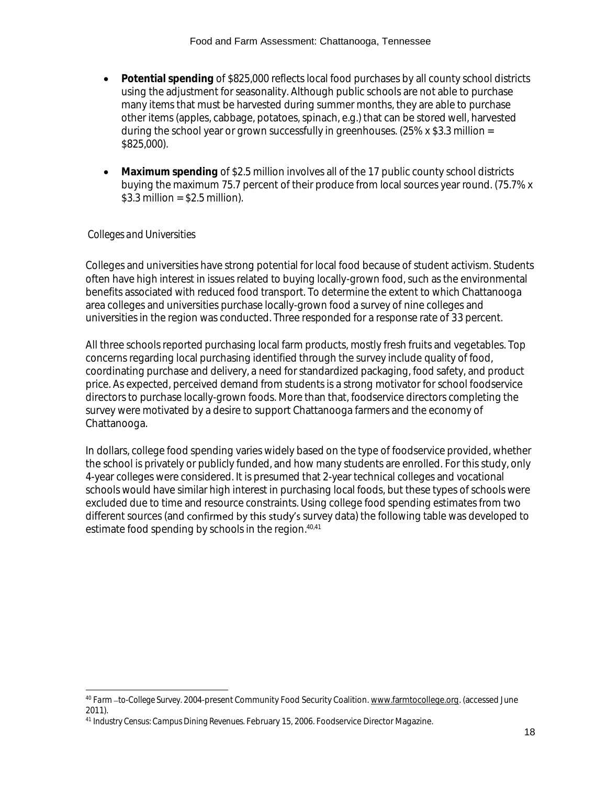- **Potential spending** of \$825,000 reflects local food purchases by all county school districts using the adjustment for seasonality. Although public schools are not able to purchase many items that must be harvested during summer months, they are able to purchase other items (apples, cabbage, potatoes, spinach, e.g.) that can be stored well, harvested during the school year or grown successfully in greenhouses. (25% x \$3.3 million = \$825,000).
- **Maximum spending** of \$2.5 million involves all of the 17 public county school districts buying the maximum 75.7 percent of their produce from local sources year round. (75.7% x  $$3.3$  million =  $$2.5$  million).

# *Colleges and Universities*

l

Colleges and universities have strong potential for local food because of student activism. Students often have high interest in issues related to buying locally-grown food, such as the environmental benefits associated with reduced food transport. To determine the extent to which Chattanooga area colleges and universities purchase locally-grown food a survey of nine colleges and universities in the region was conducted. Three responded for a response rate of 33 percent.

All three schools reported purchasing local farm products, mostly fresh fruits and vegetables. Top concerns regarding local purchasing identified through the survey include quality of food, coordinating purchase and delivery, a need for standardized packaging, food safety, and product price. As expected, perceived demand from students is a strong motivator for school foodservice directors to purchase locally-grown foods. More than that, foodservice directors completing the survey were motivated by a desire to support Chattanooga farmers and the economy of Chattanooga.

In dollars, college food spending varies widely based on the type of foodservice provided, whether the school is privately or publicly funded, and how many students are enrolled. For this study, only 4-year colleges were considered. It is presumed that 2-year technical colleges and vocational schools would have similar high interest in purchasing local foods, but these types of schools were excluded due to time and resource constraints. Using college food spending estimates from two different sources (and confirmed by this study's survey data) the following table was developed to estimate food spending by schools in the region.<sup>40,41</sup>

<sup>40</sup> *Farm to-College Survey.* 2004-present Community Food Security Coalition[. www.farmtocollege.org.](http://www.farmtocollege.org/) (accessed June 2011).

<sup>41</sup> *Industry Census: Campus Dining Revenues.* February 15, 2006. Foodservice Director Magazine.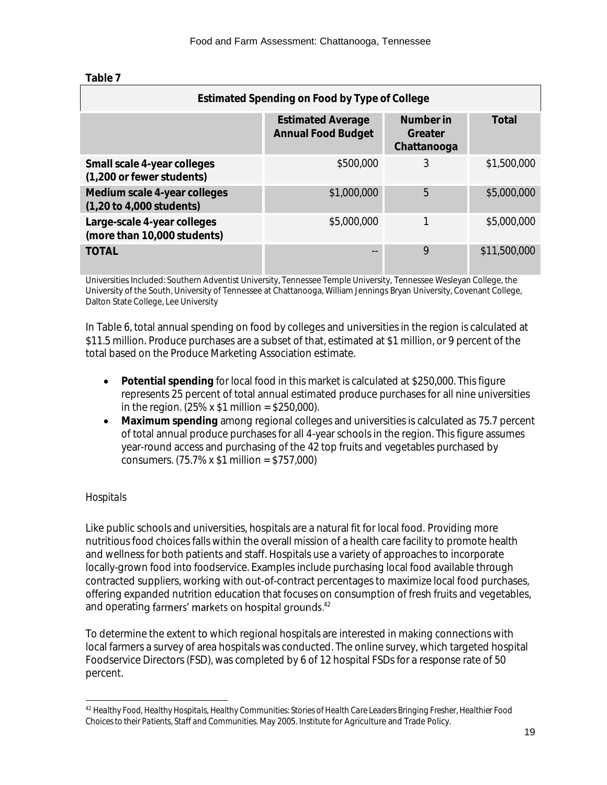| Estimated Spending on Food by Type of College                               |                                                       |                                     |              |
|-----------------------------------------------------------------------------|-------------------------------------------------------|-------------------------------------|--------------|
|                                                                             | <b>Estimated Average</b><br><b>Annual Food Budget</b> | Number in<br>Greater<br>Chattanooga | Total        |
| Small scale 4-year colleges<br>(1,200 or fewer students)                    | \$500,000                                             | 3                                   | \$1,500,000  |
| Medium scale 4-year colleges<br>$(1,20 \text{ to } 4,000 \text{ students})$ | \$1,000,000                                           | 5                                   | \$5,000,000  |
| Large-scale 4-year colleges<br>(more than 10,000 students)                  | \$5,000,000                                           |                                     | \$5,000,000  |
| <b>TOTAL</b>                                                                |                                                       | 9                                   | \$11,500,000 |

Universities Included: Southern Adventist University, Tennessee Temple University, Tennessee Wesleyan College, the University of the South, University of Tennessee at Chattanooga, William Jennings Bryan University, Covenant College, Dalton State College, Lee University

In Table 6, total annual spending on food by colleges and universities in the region is calculated at \$11.5 million. Produce purchases are a subset of that, estimated at \$1 million, or 9 percent of the total based on the Produce Marketing Association estimate.

- **Potential spending** for local food in this market is calculated at \$250,000. This figure represents 25 percent of total annual estimated produce purchases for all nine universities in the region.  $(25\% \times $1 \text{ million} = $250,000)$ .
- **Maximum spending** among regional colleges and universities is calculated as 75.7 percent of total annual produce purchases for all 4-year schools in the region. This figure assumes year-round access and purchasing of the 42 top fruits and vegetables purchased by consumers. (75.7% x \$1 million = \$757,000)

# *Hospitals*

Like public schools and universities, hospitals are a natural fit for local food. Providing more nutritious food choices falls within the overall mission of a health care facility to promote health and wellness for both patients and staff. Hospitals use a variety of approaches to incorporate locally-grown food into foodservice. Examples include purchasing local food available through contracted suppliers, working with out-of-contract percentages to maximize local food purchases, offering expanded nutrition education that focuses on consumption of fresh fruits and vegetables, and operating farmers' markets on hospital grounds. $42$ 

To determine the extent to which regional hospitals are interested in making connections with local farmers a survey of area hospitals was conducted. The online survey, which targeted hospital Foodservice Directors (FSD), was completed by 6 of 12 hospital FSDs for a response rate of 50 percent.

l <sup>42</sup> *Healthy Food, Healthy Hospitals, Healthy Communities: Stories of Health Care Leaders Bringing Fresher, Healthier Food Choices to their Patients, Staff and Communities.* May 2005. Institute for Agriculture and Trade Policy.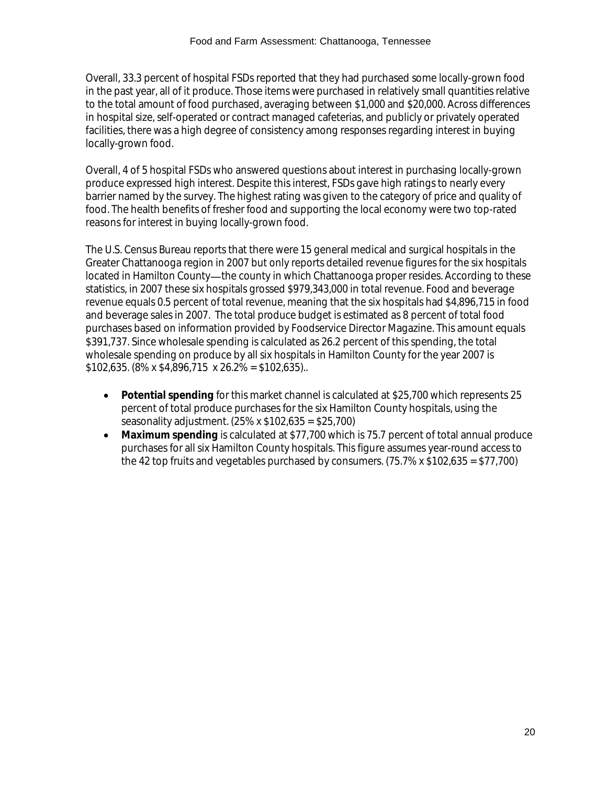Overall, 33.3 percent of hospital FSDs reported that they had purchased some locally-grown food in the past year, all of it produce. Those items were purchased in relatively small quantities relative to the total amount of food purchased, averaging between \$1,000 and \$20,000. Across differences in hospital size, self-operated or contract managed cafeterias, and publicly or privately operated facilities, there was a high degree of consistency among responses regarding interest in buying locally-grown food.

Overall, 4 of 5 hospital FSDs who answered questions about interest in purchasing locally-grown produce expressed high interest. Despite this interest, FSDs gave high ratings to nearly every barrier named by the survey. The highest rating was given to the category of price and quality of food. The health benefits of fresher food and supporting the local economy were two top-rated reasons for interest in buying locally-grown food.

The U.S. Census Bureau reports that there were 15 general medical and surgical hospitals in the Greater Chattanooga region in 2007 but only reports detailed revenue figures for the six hospitals located in Hamilton County—the county in which Chattanooga proper resides. According to these statistics, in 2007 these six hospitals grossed \$979,343,000 in total revenue. Food and beverage revenue equals 0.5 percent of total revenue, meaning that the six hospitals had \$4,896,715 in food and beverage sales in 2007. The total produce budget is estimated as 8 percent of total food purchases based on information provided by Foodservice Director Magazine. This amount equals \$391,737. Since wholesale spending is calculated as 26.2 percent of this spending, the total wholesale spending on produce by all six hospitals in Hamilton County for the year 2007 is  $$102,635. (8\% \times $4,896,715 \times 26.2\% = $102,635)$ .

- **Potential spending** for this market channel is calculated at \$25,700 which represents 25 percent of total produce purchases for the six Hamilton County hospitals, using the seasonality adjustment. (25% x \$102,635 = \$25,700)
- **Maximum spending** is calculated at \$77,700 which is 75.7 percent of total annual produce purchases for all six Hamilton County hospitals. This figure assumes year-round access to the 42 top fruits and vegetables purchased by consumers.  $(75.7\% \times \$102.635 = \$77.700)$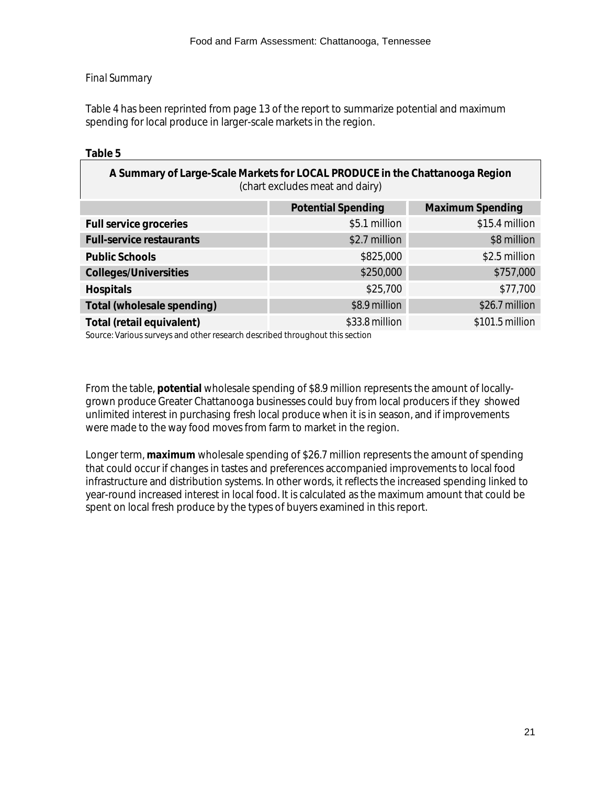# *Final Summary*

Table 4 has been reprinted from page 13 of the report to summarize potential and maximum spending for local produce in larger-scale markets in the region.

# **Table 5**

| A Summary of Large-Scale Markets for LOCAL PRODUCE in the Chattanooga Region<br>(chart excludes meat and dairy) |                           |                  |  |
|-----------------------------------------------------------------------------------------------------------------|---------------------------|------------------|--|
|                                                                                                                 | <b>Potential Spending</b> | Maximum Spending |  |
| Full service groceries                                                                                          | \$5.1 million             | \$15.4 million   |  |
| Full-service restaurants                                                                                        | \$2.7 million             | \$8 million      |  |
| Public Schools                                                                                                  | \$825,000                 | \$2.5 million    |  |
| Colleges/Universities                                                                                           | \$250,000                 | \$757,000        |  |
| Hospitals                                                                                                       | \$25,700                  | \$77,700         |  |
| Total (wholesale spending)                                                                                      | $$8.9$ million            | $$26.7$ million  |  |
| Total (retail equivalent)                                                                                       | $$33.8$ million           | $$101.5$ million |  |
|                                                                                                                 |                           |                  |  |

Source: Various surveys and other research described throughout this section

From the table, **potential** wholesale spending of \$8.9 million represents the amount of locallygrown produce Greater Chattanooga businesses could buy from local producers if they showed unlimited interest in purchasing fresh local produce when it is in season, and if improvements were made to the way food moves from farm to market in the region.

Longer term, **maximum** wholesale spending of \$26.7 million represents the amount of spending that could occur if changes in tastes and preferences accompanied improvements to local food infrastructure and distribution systems. In other words, it reflects the increased spending linked to year-round increased interest in local food. It is calculated as the maximum amount that could be spent on local fresh produce by the types of buyers examined in this report.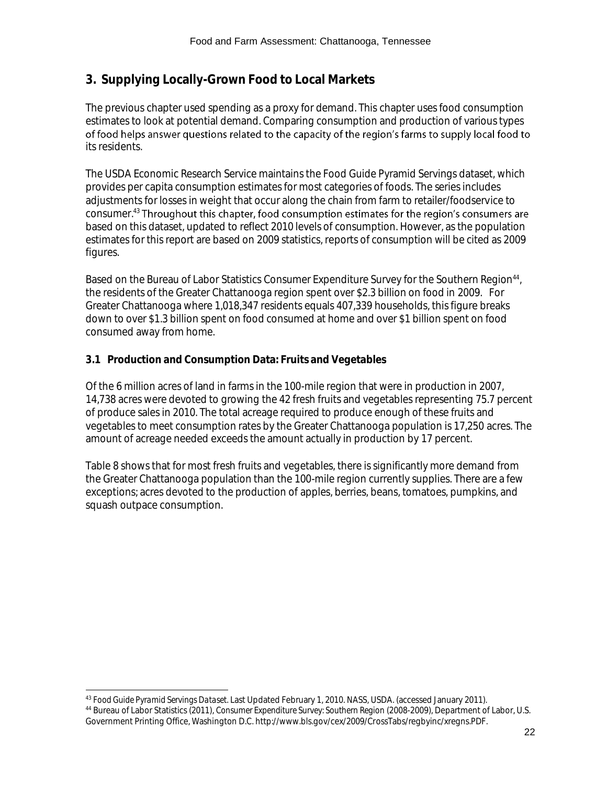# **3. Supplying Locally-Grown Food to Local Markets**

The previous chapter used spending as a proxy for demand. This chapter uses food consumption estimates to look at potential demand. Comparing consumption and production of various types of food helps answer questions related to the capacity of the region's farms to supply local food to its residents.

The USDA Economic Research Service maintains the Food Guide Pyramid Servings dataset, which provides per capita consumption estimates for most categories of foods. The series includes adjustments for losses in weight that occur along the chain from farm to retailer/foodservice to consumer.<sup>43</sup> Throughout this chapter, food consumption estimates for the region's consumers are based on this dataset, updated to reflect 2010 levels of consumption. However, as the population estimates for this report are based on 2009 statistics, reports of consumption will be cited as 2009 figures.

Based on the Bureau of Labor Statistics Consumer Expenditure Survey for the Southern Region<sup>44</sup>, the residents of the Greater Chattanooga region spent over \$2.3 billion on food in 2009. For Greater Chattanooga where 1,018,347 residents equals 407,339 households, this figure breaks down to over \$1.3 billion spent on food consumed at home and over \$1 billion spent on food consumed away from home.

# **3.1 Production and Consumption Data: Fruits and Vegetables**

Of the 6 million acres of land in farms in the 100-mile region that were in production in 2007, 14,738 acres were devoted to growing the 42 fresh fruits and vegetables representing 75.7 percent of produce sales in 2010. The total acreage required to produce enough of these fruits and vegetables to meet consumption rates by the Greater Chattanooga population is 17,250 acres. The amount of acreage needed exceeds the amount actually in production by 17 percent.

Table 8 shows that for most fresh fruits and vegetables, there is significantly more demand from the Greater Chattanooga population than the 100-mile region currently supplies. There are a few exceptions; acres devoted to the production of apples, berries, beans, tomatoes, pumpkins, and squash outpace consumption.

Government Printing Office, Washington D.C. http://www.bls.gov/cex/2009/CrossTabs/regbyinc/xregns.PDF.

l

<sup>43</sup> *Food Guide Pyramid Servings Dataset.* Last Updated February 1, 2010. NASS, USDA. (accessed January 2011). <sup>44</sup> Bureau of Labor Statistics (2011), *Consumer Expenditure Survey: Southern Region* (2008-2009), Department of Labor, U.S.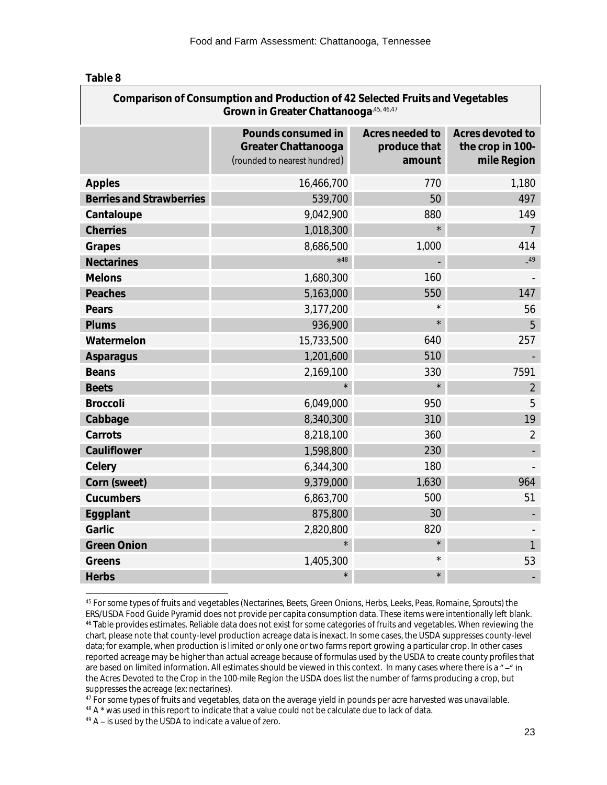| Comparison of Consumption and Production of 42 Selected Fruits and Vegetables<br>Grown in Greater Chattanooga, 45, 46, 47 |                                                                           |                                           |                                                     |  |
|---------------------------------------------------------------------------------------------------------------------------|---------------------------------------------------------------------------|-------------------------------------------|-----------------------------------------------------|--|
|                                                                                                                           | Pounds consumed in<br>Greater Chattanooga<br>(rounded to nearest hundred) | Acres needed to<br>produce that<br>amount | Acres devoted to<br>the crop in 100-<br>mile Region |  |
| Apples                                                                                                                    | 16,466,700                                                                | 770                                       | 1,180                                               |  |
| <b>Berries and Strawberries</b>                                                                                           | 539,700                                                                   | 50                                        | 497                                                 |  |
| Cantaloupe                                                                                                                | 9,042,900                                                                 | 880                                       | 149                                                 |  |
| Cherries                                                                                                                  | 1,018,300                                                                 |                                           | $\overline{7}$                                      |  |
| Grapes                                                                                                                    | 8,686,500                                                                 | 1,000                                     | 414                                                 |  |
| Nectarines                                                                                                                | $*48$                                                                     |                                           | $-49$                                               |  |
| Melons                                                                                                                    | 1,680,300                                                                 | 160                                       |                                                     |  |
| Peaches                                                                                                                   | 5,163,000                                                                 | 550                                       | 147                                                 |  |
| Pears                                                                                                                     | 3,177,200                                                                 | $\star$                                   | 56                                                  |  |
| Plums                                                                                                                     | 936,900                                                                   | $\star$                                   | 5                                                   |  |
| Watermelon                                                                                                                | 15,733,500                                                                | 640                                       | 257                                                 |  |
| Asparagus                                                                                                                 | 1,201,600                                                                 | 510                                       |                                                     |  |
| <b>Beans</b>                                                                                                              | 2,169,100                                                                 | 330                                       | 7591                                                |  |
| <b>Beets</b>                                                                                                              |                                                                           | $\star$                                   | $\overline{2}$                                      |  |
| <b>Broccoli</b>                                                                                                           | 6,049,000                                                                 | 950                                       | 5                                                   |  |
| Cabbage                                                                                                                   | 8,340,300                                                                 | 310                                       | 19                                                  |  |
| Carrots                                                                                                                   | 8,218,100                                                                 | 360                                       | $\overline{2}$                                      |  |
| Cauliflower                                                                                                               | 1,598,800                                                                 | 230                                       |                                                     |  |
| Celery                                                                                                                    | 6,344,300                                                                 | 180                                       |                                                     |  |
| Corn (sweet)                                                                                                              | 9,379,000                                                                 | 1,630                                     | 964                                                 |  |
| Cucumbers                                                                                                                 | 6,863,700                                                                 | 500                                       | 51                                                  |  |
| Eggplant                                                                                                                  | 875,800                                                                   | 30                                        |                                                     |  |
| Garlic                                                                                                                    | 2,820,800                                                                 | 820                                       |                                                     |  |
| <b>Green Onion</b>                                                                                                        |                                                                           | $\star$                                   | 1                                                   |  |
| Greens                                                                                                                    | 1,405,300                                                                 | $\star$                                   | 53                                                  |  |
| <b>Herbs</b>                                                                                                              |                                                                           |                                           |                                                     |  |

l <sup>45</sup> For some types of fruits and vegetables (Nectarines, Beets, Green Onions, Herbs, Leeks, Peas, Romaine, Sprouts) the ERS/USDA Food Guide Pyramid does not provide per capita consumption data. These items were intentionally left blank. <sup>46</sup> Table provides estimates. Reliable data does not exist for some categories of fruits and vegetables. When reviewing the chart, please note that county-level production acreage data is inexact. In some cases, the USDA suppresses county-level data; for example, when production is limited or only one or two farms report growing a particular crop. In other cases reported acreage may be higher than actual acreage because of formulas used by the USDA to create county profiles that are based on limited information. All estimates should be viewed in this context. In many cases where there is a "-" in the Acres Devoted to the Crop in the 100-mile Region the USDA does list the number of farms producing a crop, but suppresses the acreage (ex: nectarines).

<sup>48</sup> A \* was used in this report to indicate that a value could not be calculate due to lack of data.

 $49$  A – is used by the USDA to indicate a value of zero.

<sup>&</sup>lt;sup>47</sup> For some types of fruits and vegetables, data on the average yield in pounds per acre harvested was unavailable.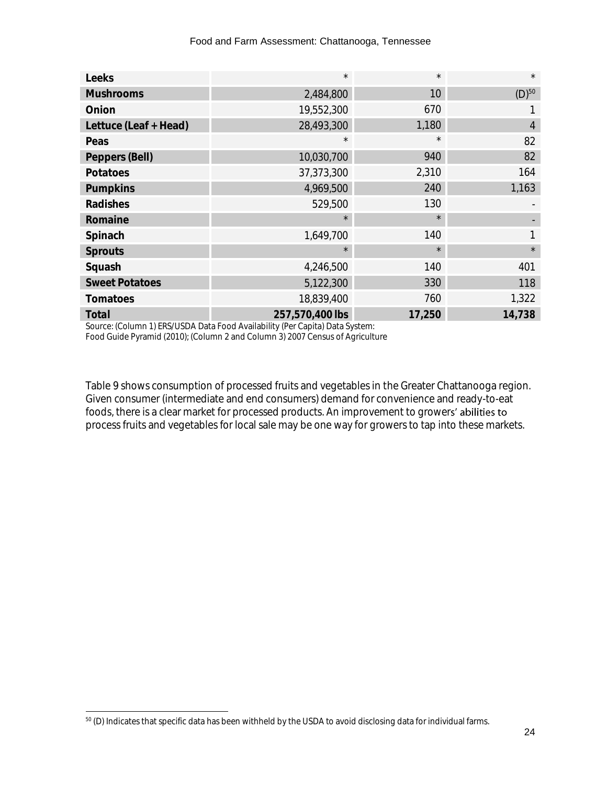| Leeks                 | $\star$         | $\star$ | $\star$             |
|-----------------------|-----------------|---------|---------------------|
| <b>Mushrooms</b>      | 2,484,800       | 10      | $(D)$ <sup>50</sup> |
| Onion                 | 19,552,300      | 670     |                     |
| Lettuce (Leaf + Head) | 28,493,300      | 1,180   | $\overline{4}$      |
| Peas                  | $\star$         | $\star$ | 82                  |
| Peppers (Bell)        | 10,030,700      | 940     | 82                  |
| Potatoes              | 37, 373, 300    | 2,310   | 164                 |
| Pumpkins              | 4,969,500       | 240     | 1,163               |
| Radishes              | 529,500         | 130     |                     |
| Romaine               | $\star$         | $\star$ |                     |
| Spinach               | 1,649,700       | 140     |                     |
| Sprouts               | $\star$         | $\star$ | $\star$             |
| Squash                | 4,246,500       | 140     | 401                 |
| <b>Sweet Potatoes</b> | 5,122,300       | 330     | 118                 |
| Tomatoes              | 18,839,400      | 760     | 1,322               |
| Total                 | 257,570,400 lbs | 17,250  | 14,738              |

Source: (Column 1) ERS/USDA Data Food Availability (Per Capita) Data System:

Food Guide Pyramid (2010); (Column 2 and Column 3) 2007 Census of Agriculture

Table 9 shows consumption of processed fruits and vegetables in the Greater Chattanooga region. Given consumer (intermediate and end consumers) demand for convenience and ready-to-eat foods, there is a clear market for processed products. An improvement to growers' abilities to process fruits and vegetables for local sale may be one way for growers to tap into these markets.

l  $^{50}$  (D) Indicates that specific data has been withheld by the USDA to avoid disclosing data for individual farms.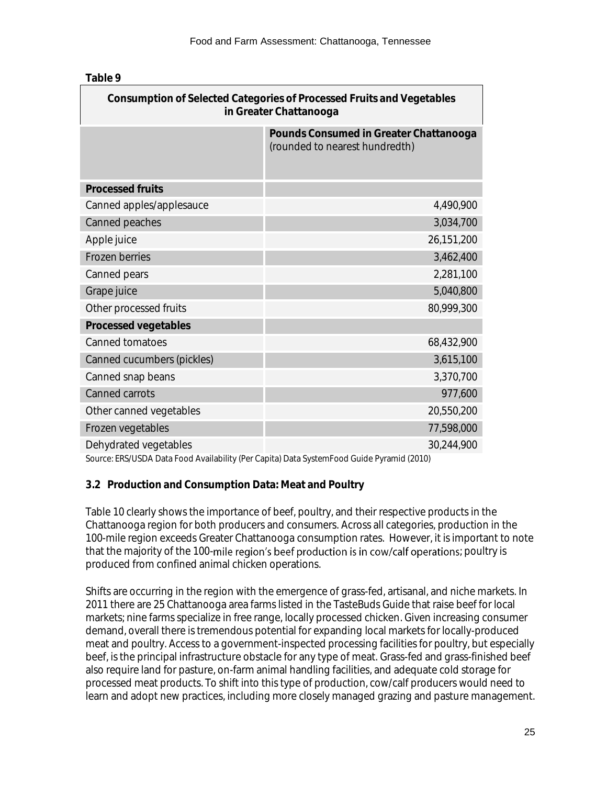| Consumption of Selected Categories of Processed Fruits and Vegetables<br>in Greater Chattanooga |                                                                          |  |  |
|-------------------------------------------------------------------------------------------------|--------------------------------------------------------------------------|--|--|
|                                                                                                 | Pounds Consumed in Greater Chattanooga<br>(rounded to nearest hundredth) |  |  |
| <b>Processed fruits</b>                                                                         |                                                                          |  |  |
| Canned apples/applesauce                                                                        | 4,490,900                                                                |  |  |
| Canned peaches                                                                                  | 3,034,700                                                                |  |  |
| Apple juice                                                                                     | 26,151,200                                                               |  |  |
| Frozen berries                                                                                  | 3,462,400                                                                |  |  |
| Canned pears                                                                                    | 2,281,100                                                                |  |  |
| Grape juice                                                                                     | 5,040,800                                                                |  |  |
| Other processed fruits                                                                          | 80,999,300                                                               |  |  |
| Processed vegetables                                                                            |                                                                          |  |  |
| Canned tomatoes                                                                                 | 68,432,900                                                               |  |  |
| Canned cucumbers (pickles)                                                                      | 3,615,100                                                                |  |  |
| Canned snap beans                                                                               | 3,370,700                                                                |  |  |
| Canned carrots                                                                                  | 977,600                                                                  |  |  |
| Other canned vegetables                                                                         | 20,550,200                                                               |  |  |
| Frozen vegetables                                                                               | 77,598,000                                                               |  |  |
| Dehydrated vegetables                                                                           | 30,244,900                                                               |  |  |

Source: ERS/USDA Data Food Availability (Per Capita) Data SystemFood Guide Pyramid (2010)

# **3.2 Production and Consumption Data: Meat and Poultry**

Table 10 clearly shows the importance of beef, poultry, and their respective products in the Chattanooga region for both producers and consumers. Across all categories, production in the 100-mile region exceeds Greater Chattanooga consumption rates. However, it is important to note that the majority of the 100-mile region's beef production is in cow/calf operations; poultry is produced from confined animal chicken operations.

Shifts are occurring in the region with the emergence of grass-fed, artisanal, and niche markets. In 2011 there are 25 Chattanooga area farms listed in the TasteBuds Guide that raise beef for local markets; nine farms specialize in free range, locally processed chicken. Given increasing consumer demand, overall there is tremendous potential for expanding local markets for locally-produced meat and poultry. Access to a government-inspected processing facilities for poultry, but especially beef, is the principal infrastructure obstacle for any type of meat. Grass-fed and grass-finished beef also require land for pasture, on-farm animal handling facilities, and adequate cold storage for processed meat products. To shift into this type of production, cow/calf producers would need to learn and adopt new practices, including more closely managed grazing and pasture management.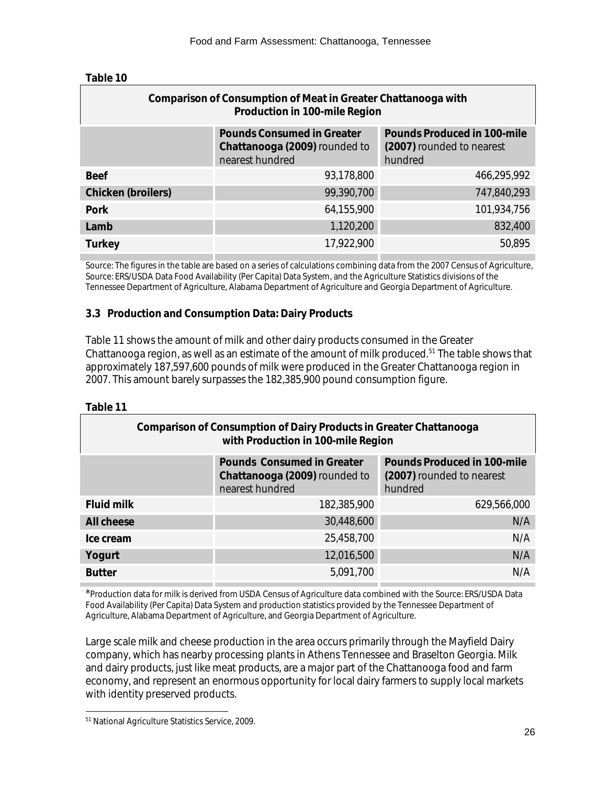| Table 10 |
|----------|
|----------|

| Comparison of Consumption of Meat in Greater Chattanooga with<br>Production in 100-mile Region |                                                                     |  |  |
|------------------------------------------------------------------------------------------------|---------------------------------------------------------------------|--|--|
| Pounds Consumed in Greater<br>Chattanooga (2009) rounded to<br>nearest hundred                 | Pounds Produced in 100-mile<br>(2007) rounded to nearest<br>hundred |  |  |
| 93,178,800                                                                                     | 466,295,992                                                         |  |  |
| 99,390,700                                                                                     | 747,840,293                                                         |  |  |
| 64,155,900                                                                                     | 101,934,756                                                         |  |  |
| 1,120,200                                                                                      | 832,400                                                             |  |  |
| 17,922,900                                                                                     | 50,895                                                              |  |  |
|                                                                                                |                                                                     |  |  |

Source: The figures in the table are based on a series of calculations combining data from the 2007 Census of Agriculture, Source: ERS/USDA Data Food Availability (Per Capita) Data System, and the Agriculture Statistics divisions of the Tennessee Department of Agriculture, Alabama Department of Agriculture and Georgia Department of Agriculture.

# **3.3 Production and Consumption Data: Dairy Products**

Table 11 shows the amount of milk and other dairy products consumed in the Greater Chattanooga region, as well as an estimate of the amount of milk produced.<sup>51</sup> The table shows that approximately 187,597,600 pounds of milk were produced in the Greater Chattanooga region in 2007. This amount barely surpasses the 182,385,900 pound consumption figure.

**Table 11**

| Comparison of Consumption of Dairy Products in Greater Chattanooga<br>with Production in 100-mile Region |                                                                                |                                                                     |  |
|----------------------------------------------------------------------------------------------------------|--------------------------------------------------------------------------------|---------------------------------------------------------------------|--|
|                                                                                                          | Pounds Consumed in Greater<br>Chattanooga (2009) rounded to<br>nearest hundred | Pounds Produced in 100-mile<br>(2007) rounded to nearest<br>hundred |  |
| Fluid milk                                                                                               | 182,385,900                                                                    | 629,566,000                                                         |  |
| All cheese                                                                                               | 30,448,600                                                                     | N/A                                                                 |  |
| Ice cream                                                                                                | 25,458,700                                                                     | N/A                                                                 |  |
| Yogurt                                                                                                   | 12,016,500                                                                     | N/A                                                                 |  |
| <b>Butter</b>                                                                                            | 5,091,700                                                                      | N/A                                                                 |  |

\*Production data for milk is derived from USDA Census of Agriculture data combined with the Source: ERS/USDA Data Food Availability (Per Capita) Data System and production statistics provided by the Tennessee Department of Agriculture, Alabama Department of Agriculture, and Georgia Department of Agriculture.

Large scale milk and cheese production in the area occurs primarily through the Mayfield Dairy company, which has nearby processing plants in Athens Tennessee and Braselton Georgia. Milk and dairy products, just like meat products, are a major part of the Chattanooga food and farm economy, and represent an enormous opportunity for local dairy farmers to supply local markets with identity preserved products.

l <sup>51</sup> National Agriculture Statistics Service, 2009.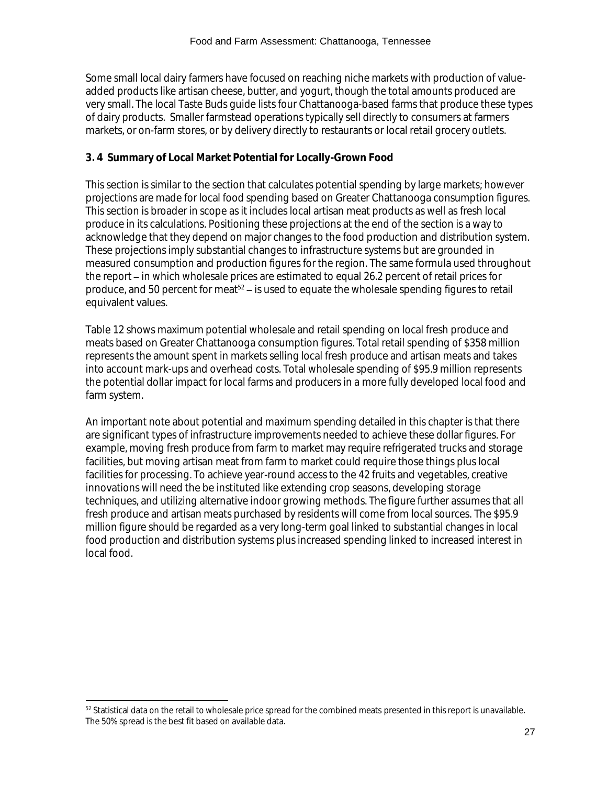Some small local dairy farmers have focused on reaching niche markets with production of valueadded products like artisan cheese, butter, and yogurt, though the total amounts produced are very small. The local Taste Buds guide lists four Chattanooga-based farms that produce these types of dairy products. Smaller farmstead operations typically sell directly to consumers at farmers markets, or on-farm stores, or by delivery directly to restaurants or local retail grocery outlets.

# **3. 4 Summary of Local Market Potential for Locally-Grown Food**

This section is similar to the section that calculates potential spending by large markets; however projections are made for local food spending based on Greater Chattanooga consumption figures. This section is broader in scope as it includes local artisan meat products as well as fresh local produce in its calculations. Positioning these projections at the end of the section is a way to acknowledge that they depend on major changes to the food production and distribution system. These projections imply substantial changes to infrastructure systems but are grounded in measured consumption and production figures for the region. The same formula used throughout the report – in which wholesale prices are estimated to equal 26.2 percent of retail prices for produce, and 50 percent for meat<sup>52</sup> – is used to equate the wholesale spending figures to retail equivalent values.

Table 12 shows maximum potential wholesale and retail spending on local fresh produce and meats based on Greater Chattanooga consumption figures. Total retail spending of \$358 million represents the amount spent in markets selling local fresh produce and artisan meats and takes into account mark-ups and overhead costs. Total wholesale spending of \$95.9 million represents the potential dollar impact for local farms and producers in a more fully developed local food and farm system.

An important note about potential and maximum spending detailed in this chapter is that there are significant types of infrastructure improvements needed to achieve these dollar figures. For example, moving fresh produce from farm to market may require refrigerated trucks and storage facilities, but moving artisan meat from farm to market could require those things plus local facilities for processing. To achieve year-round access to the 42 fruits and vegetables, creative innovations will need the be instituted like extending crop seasons, developing storage techniques, and utilizing alternative indoor growing methods. The figure further assumes that all fresh produce and artisan meats purchased by residents will come from local sources. The \$95.9 million figure should be regarded as a very long-term goal linked to substantial changes in local food production and distribution systems plus increased spending linked to increased interest in local food.

l

<sup>52</sup> Statistical data on the retail to wholesale price spread for the combined meats presented in this report is unavailable. The 50% spread is the best fit based on available data.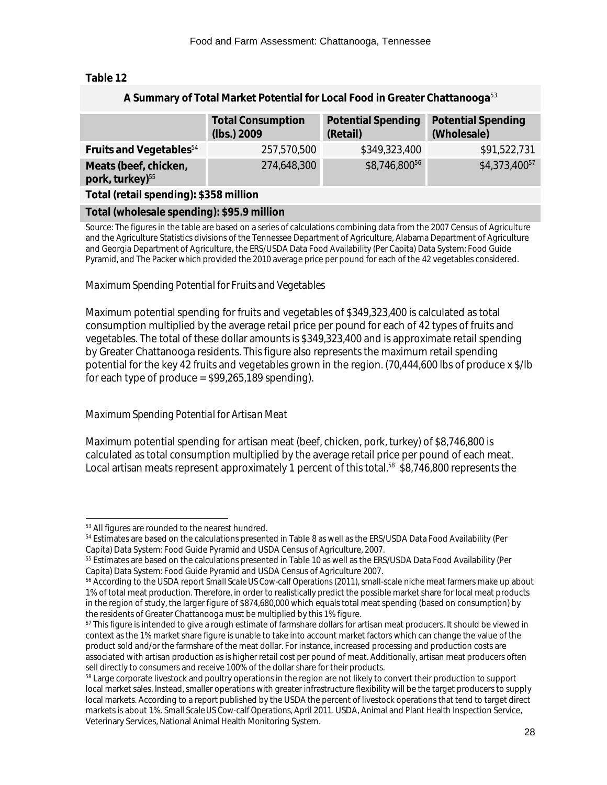**A Summary of Total Market Potential for Local Food in Greater Chattanooga**<sup>53</sup>

#### **Table 12**

| A Julianul y Or Total Market Fotontial for Local Food in Orcator Chattanooga |                                         |                                       |                                          |  |
|------------------------------------------------------------------------------|-----------------------------------------|---------------------------------------|------------------------------------------|--|
|                                                                              | <b>Total Consumption</b><br>(lbs.) 2009 | <b>Potential Spending</b><br>(Retail) | <b>Potential Spending</b><br>(Wholesale) |  |
| Fruits and Vegetables <sup>54</sup>                                          | 257,570,500                             | \$349,323,400                         | \$91,522,731                             |  |
| Meats (beef, chicken,<br>pork, turkey) <sup>55</sup>                         | 274,648,300                             | \$8,746,80056                         | \$4,373,40057                            |  |
| Total (retail spending): \$358 million                                       |                                         |                                       |                                          |  |
| Total (wholesale spending): \$95.9 million                                   |                                         |                                       |                                          |  |

Source: The figures in the table are based on a series of calculations combining data from the 2007 Census of Agriculture and the Agriculture Statistics divisions of the Tennessee Department of Agriculture, Alabama Department of Agriculture and Georgia Department of Agriculture, the ERS/USDA Data Food Availability (Per Capita) Data System: Food Guide Pyramid, and The Packer which provided the 2010 average price per pound for each of the 42 vegetables considered.

#### *Maximum Spending Potential for Fruits and Vegetables*

Maximum potential spending for fruits and vegetables of \$349,323,400 is calculated as total consumption multiplied by the average retail price per pound for each of 42 types of fruits and vegetables. The total of these dollar amounts is \$349,323,400 and is approximate retail spending by Greater Chattanooga residents. This figure also represents the maximum retail spending potential for the key 42 fruits and vegetables grown in the region. (70,444,600 lbs of produce x \$/lb for each type of produce =  $$99,265,189$  spending).

#### *Maximum Spending Potential for Artisan Meat*

Maximum potential spending for artisan meat (beef, chicken, pork, turkey) of \$8,746,800 is calculated as total consumption multiplied by the average retail price per pound of each meat. Local artisan meats represent approximately 1 percent of this total.<sup>58</sup> \$8,746,800 represents the

l <sup>53</sup> All figures are rounded to the nearest hundred.

<sup>54</sup> Estimates are based on the calculations presented in Table 8 as well as the ERS/USDA Data Food Availability (Per Capita) Data System: Food Guide Pyramid and USDA Census of Agriculture, 2007.

<sup>55</sup> Estimates are based on the calculations presented in Table 10 as well as the ERS/USDA Data Food Availability (Per Capita) Data System: Food Guide Pyramid and USDA Census of Agriculture 2007.

<sup>56</sup> According to the USDA report *Small Scale US Cow-calf Operations* (2011), small-scale niche meat farmers make up about 1% of total meat production. Therefore, in order to realistically predict the possible market share for local meat products in the region of study, the larger figure of \$874,680,000 which equals total meat spending (based on consumption) by the residents of Greater Chattanooga must be multiplied by this 1% figure.

<sup>&</sup>lt;sup>57</sup> This figure is intended to give a rough estimate of farmshare dollars for artisan meat producers. It should be viewed in context as the 1% market share figure is unable to take into account market factors which can change the value of the product sold and/or the farmshare of the meat dollar. For instance, increased processing and production costs are associated with artisan production as is higher retail cost per pound of meat. Additionally, artisan meat producers often sell directly to consumers and receive 100% of the dollar share for their products.

<sup>&</sup>lt;sup>58</sup> Large corporate livestock and poultry operations in the region are not likely to convert their production to support local market sales. Instead, smaller operations with greater infrastructure flexibility will be the target producers to supply local markets. According to a report published by the USDA the percent of livestock operations that tend to target direct markets is about 1%. *Small Scale US Cow-calf Operations,* April 2011. USDA, Animal and Plant Health Inspection Service, Veterinary Services, National Animal Health Monitoring System.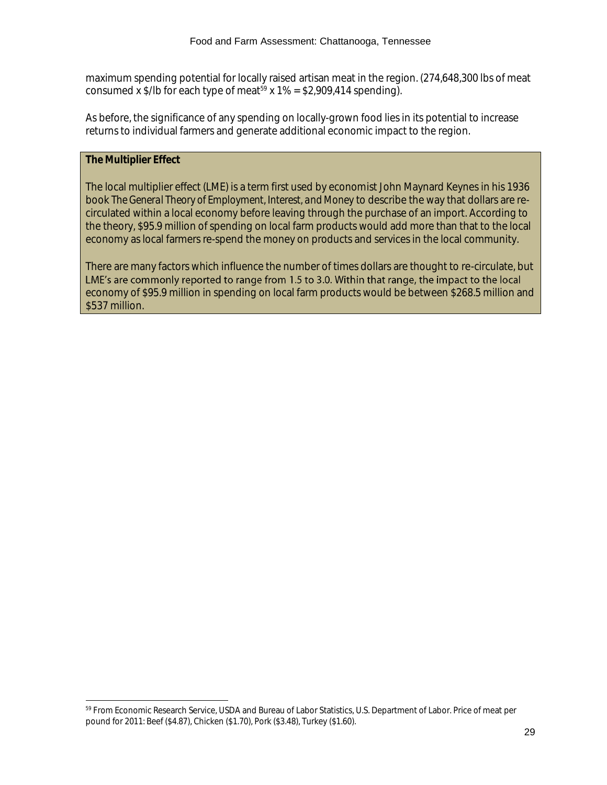maximum spending potential for locally raised artisan meat in the region. (274,648,300 lbs of meat consumed x  $\frac{1}{2}$ /lb for each type of meat<sup>59</sup> x 1% = \$2,909,414 spending).

As before, the significance of any spending on locally-grown food lies in its potential to increase returns to individual farmers and generate additional economic impact to the region.

# *The Multiplier Effect*

l

The local multiplier effect (LME) is a term first used by economist John Maynard Keynes in his 1936 book *The General Theory of Employment, Interest, and Money* to describe the way that dollars are recirculated within a local economy before leaving through the purchase of an import. According to the theory, \$95.9 million of spending on local farm products would add more than that to the local economy as local farmers re-spend the money on products and services in the local community.

There are many factors which influence the number of times dollars are thought to re-circulate, but LME's are commonly reported to range from 1.5 to 3.0. Within that range, the impact to the local economy of \$95.9 million in spending on local farm products would be between \$268.5 million and \$537 million.

<sup>59</sup> From Economic Research Service, USDA and Bureau of Labor Statistics, U.S. Department of Labor. Price of meat per pound for 2011: Beef (\$4.87), Chicken (\$1.70), Pork (\$3.48), Turkey (\$1.60).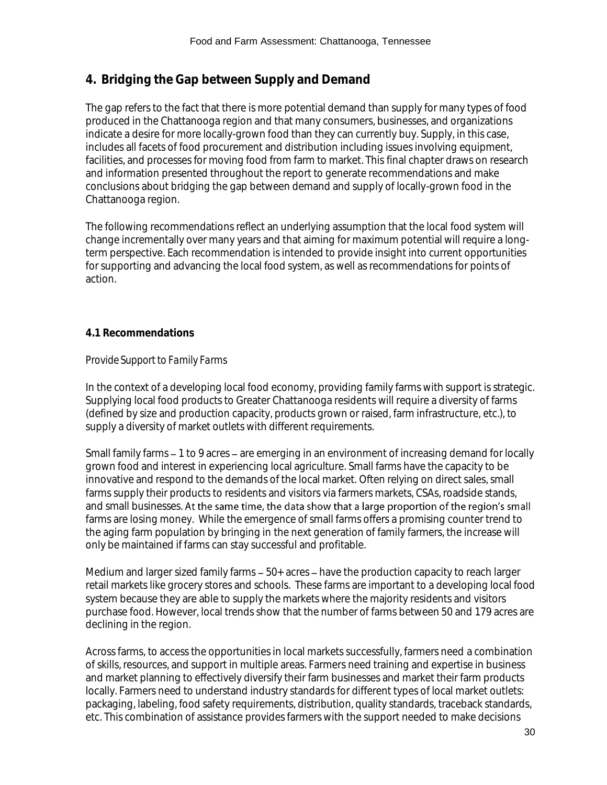# **4. Bridging the Gap between Supply and Demand**

The gap refers to the fact that there is more potential demand than supply for many types of food produced in the Chattanooga region and that many consumers, businesses, and organizations indicate a desire for more locally-grown food than they can currently buy. Supply, in this case, includes all facets of food procurement and distribution including issues involving equipment, facilities, and processes for moving food from farm to market. This final chapter draws on research and information presented throughout the report to generate recommendations and make conclusions about bridging the gap between demand and supply of locally-grown food in the Chattanooga region.

The following recommendations reflect an underlying assumption that the local food system will change incrementally over many years and that aiming for maximum potential will require a longterm perspective. Each recommendation is intended to provide insight into current opportunities for supporting and advancing the local food system, as well as recommendations for points of action.

# **4.1 Recommendations**

#### *Provide Support to Family Farms*

In the context of a developing local food economy, providing family farms with support is strategic. Supplying local food products to Greater Chattanooga residents will require a diversity of farms (defined by size and production capacity, products grown or raised, farm infrastructure, etc.), to supply a diversity of market outlets with different requirements.

Small family farms – 1 to 9 acres – are emerging in an environment of increasing demand for locally grown food and interest in experiencing local agriculture. Small farms have the capacity to be innovative and respond to the demands of the local market. Often relying on direct sales, small farms supply their products to residents and visitors via farmers markets, CSAs, roadside stands, and small businesses. At the same time, the data show that a large proportion of the region's small farms are losing money. While the emergence of small farms offers a promising counter trend to the aging farm population by bringing in the next generation of family farmers, the increase will only be maintained if farms can stay successful and profitable.

Medium and larger sized family farms  $-50+$  acres  $-$  have the production capacity to reach larger retail markets like grocery stores and schools. These farms are important to a developing local food system because they are able to supply the markets where the majority residents and visitors purchase food. However, local trends show that the number of farms between 50 and 179 acres are declining in the region.

Across farms, to access the opportunities in local markets successfully, farmers need a combination of skills, resources, and support in multiple areas. Farmers need training and expertise in business and market planning to effectively diversify their farm businesses and market their farm products locally. Farmers need to understand industry standards for different types of local market outlets: packaging, labeling, food safety requirements, distribution, quality standards, traceback standards, etc. This combination of assistance provides farmers with the support needed to make decisions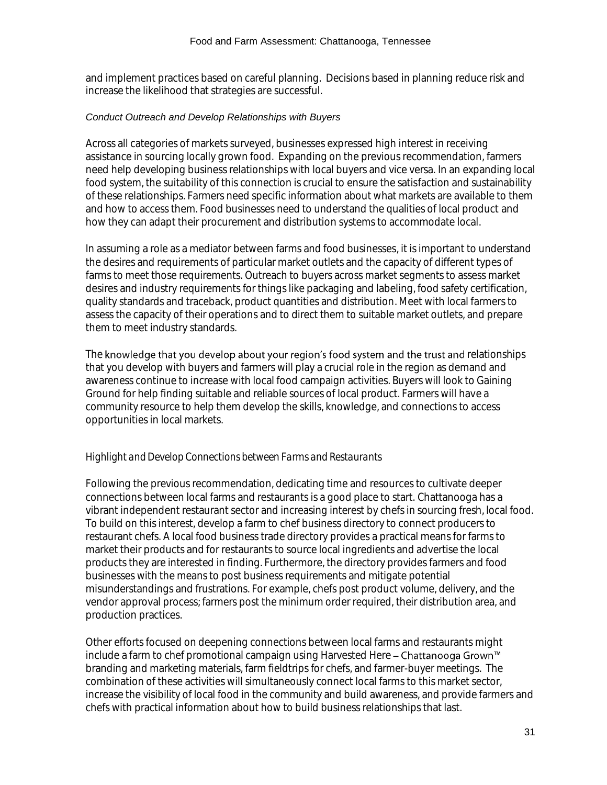and implement practices based on careful planning. Decisions based in planning reduce risk and increase the likelihood that strategies are successful.

#### *Conduct Outreach and Develop Relationships with Buyers*

Across all categories of markets surveyed, businesses expressed high interest in receiving assistance in sourcing locally grown food. Expanding on the previous recommendation, farmers need help developing business relationships with local buyers and vice versa. In an expanding local food system, the suitability of this connection is crucial to ensure the satisfaction and sustainability of these relationships. Farmers need specific information about what markets are available to them and how to access them. Food businesses need to understand the qualities of local product and how they can adapt their procurement and distribution systems to accommodate local.

In assuming a role as a mediator between farms and food businesses, it is important to understand the desires and requirements of particular market outlets and the capacity of different types of farms to meet those requirements. Outreach to buyers across market segments to assess market desires and industry requirements for things like packaging and labeling, food safety certification, quality standards and traceback, product quantities and distribution. Meet with local farmers to assess the capacity of their operations and to direct them to suitable market outlets, and prepare them to meet industry standards.

The knowledge that you develop about your region's food system and the trust and relationships that you develop with buyers and farmers will play a crucial role in the region as demand and awareness continue to increase with local food campaign activities. Buyers will look to Gaining Ground for help finding suitable and reliable sources of local product. Farmers will have a community resource to help them develop the skills, knowledge, and connections to access opportunities in local markets.

#### *Highlight and Develop Connections between Farms and Restaurants*

Following the previous recommendation, dedicating time and resources to cultivate deeper connections between local farms and restaurants is a good place to start. Chattanooga has a vibrant independent restaurant sector and increasing interest by chefs in sourcing fresh, local food. To build on this interest, develop a farm to chef business directory to connect producers to restaurant chefs. A local food business trade directory provides a practical means for farms to market their products and for restaurants to source local ingredients and advertise the local products they are interested in finding. Furthermore, the directory provides farmers and food businesses with the means to post business requirements and mitigate potential misunderstandings and frustrations. For example, chefs post product volume, delivery, and the vendor approval process; farmers post the minimum order required, their distribution area, and production practices.

Other efforts focused on deepening connections between local farms and restaurants might include a farm to chef promotional campaign using Harvested Here - Chattanooga Grown<sup>™</sup> branding and marketing materials, farm fieldtrips for chefs, and farmer-buyer meetings. The combination of these activities will simultaneously connect local farms to this market sector, increase the visibility of local food in the community and build awareness, and provide farmers and chefs with practical information about how to build business relationships that last.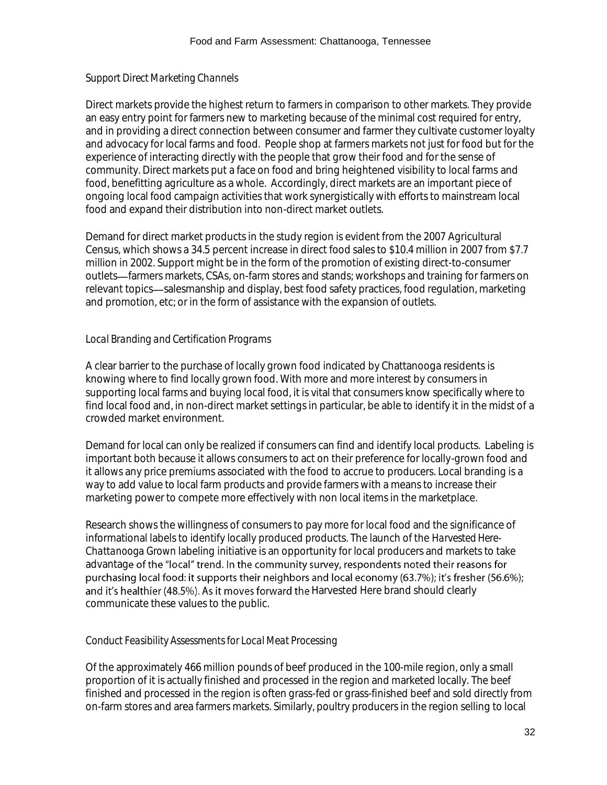# *Support Direct Marketing Channels*

Direct markets provide the highest return to farmers in comparison to other markets. They provide an easy entry point for farmers new to marketing because of the minimal cost required for entry, and in providing a direct connection between consumer and farmer they cultivate customer loyalty and advocacy for local farms and food. People shop at farmers markets not just for food but for the experience of interacting directly with the people that grow their food and for the sense of community. Direct markets put a face on food and bring heightened visibility to local farms and food, benefitting agriculture as a whole. Accordingly, direct markets are an important piece of ongoing local food campaign activities that work synergistically with efforts to mainstream local food and expand their distribution into non-direct market outlets.

Demand for direct market products in the study region is evident from the 2007 Agricultural Census, which shows a 34.5 percent increase in direct food sales to \$10.4 million in 2007 from \$7.7 million in 2002. Support might be in the form of the promotion of existing direct-to-consumer outlets—farmers markets, CSAs, on-farm stores and stands; workshops and training for farmers on relevant topics—salesmanship and display, best food safety practices, food regulation, marketing and promotion, etc; or in the form of assistance with the expansion of outlets.

# *Local Branding and Certification Programs*

A clear barrier to the purchase of locally grown food indicated by Chattanooga residents is knowing where to find locally grown food. With more and more interest by consumers in supporting local farms and buying local food, it is vital that consumers know specifically where to find local food and, in non-direct market settings in particular, be able to identify it in the midst of a crowded market environment.

Demand for local can only be realized if consumers can find and identify local products. Labeling is important both because it allows consumers to act on their preference for locally-grown food and it allows any price premiums associated with the food to accrue to producers. Local branding is a way to add value to local farm products and provide farmers with a means to increase their marketing power to compete more effectively with non local items in the marketplace.

Research shows the willingness of consumers to pay more for local food and the significance of informational labels to identify locally produced products. The launch of the *Harvested Here-Chattanooga Grown* labeling initiative is an opportunity for local producers and markets to take advantage of the "local" trend. In the community survey, respondents noted their reasons for purchasing local food: it supports their neighbors and local economy (63.7%); it's fresher (56.6%); and it's healthier (48.5%). As it moves forward the Harvested Here brand should clearly communicate these values to the public.

# *Conduct Feasibility Assessmentsfor Local Meat Processing*

Of the approximately 466 million pounds of beef produced in the 100-mile region, only a small proportion of it is actually finished and processed in the region and marketed locally. The beef finished and processed in the region is often grass-fed or grass-finished beef and sold directly from on-farm stores and area farmers markets. Similarly, poultry producers in the region selling to local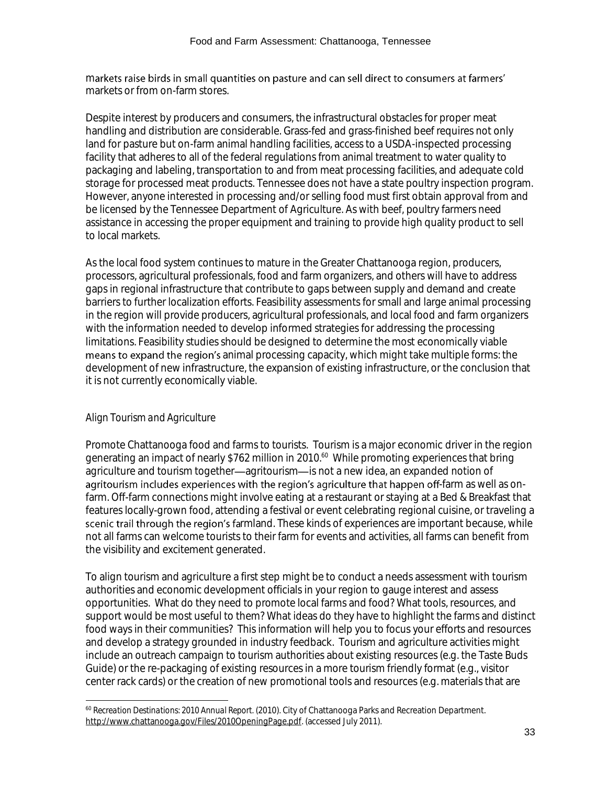markets raise birds in small quantities on pasture and can sell direct to consumers at farmers' markets or from on-farm stores.

Despite interest by producers and consumers, the infrastructural obstacles for proper meat handling and distribution are considerable. Grass-fed and grass-finished beef requires not only land for pasture but on-farm animal handling facilities, access to a USDA-inspected processing facility that adheres to all of the federal regulations from animal treatment to water quality to packaging and labeling, transportation to and from meat processing facilities, and adequate cold storage for processed meat products. Tennessee does not have a state poultry inspection program. However, anyone interested in processing and/or selling food must first obtain approval from and be licensed by the Tennessee Department of Agriculture. As with beef, poultry farmers need assistance in accessing the proper equipment and training to provide high quality product to sell to local markets.

As the local food system continues to mature in the Greater Chattanooga region, producers, processors, agricultural professionals, food and farm organizers, and others will have to address gaps in regional infrastructure that contribute to gaps between supply and demand and create barriers to further localization efforts. Feasibility assessments for small and large animal processing in the region will provide producers, agricultural professionals, and local food and farm organizers with the information needed to develop informed strategies for addressing the processing limitations. Feasibility studies should be designed to determine the most economically viable means to expand the region's animal processing capacity, which might take multiple forms: the development of new infrastructure, the expansion of existing infrastructure, or the conclusion that it is not currently economically viable.

# *Align Tourism and Agriculture*

Promote Chattanooga food and farms to tourists. Tourism is a major economic driver in the region generating an impact of nearly \$762 million in 2010.<sup>60</sup> While promoting experiences that bring agriculture and tourism together-agritourism- is not a new idea, an expanded notion of agritourism includes experiences with the region's agriculture that happen off-farm as well as onfarm. Off-farm connections might involve eating at a restaurant or staying at a Bed & Breakfast that features locally-grown food, attending a festival or event celebrating regional cuisine, or traveling a scenic trail through the region's farmland. These kinds of experiences are important because, while not all farms can welcome tourists to their farm for events and activities, all farms can benefit from the visibility and excitement generated.

To align tourism and agriculture a first step might be to conduct a needs assessment with tourism authorities and economic development officials in your region to gauge interest and assess opportunities. What do they need to promote local farms and food? What tools, resources, and support would be most useful to them? What ideas do they have to highlight the farms and distinct food ways in their communities? This information will help you to focus your efforts and resources and develop a strategy grounded in industry feedback. Tourism and agriculture activities might include an outreach campaign to tourism authorities about existing resources (e.g. the Taste Buds Guide) or the re-packaging of existing resources in a more tourism friendly format (e.g., visitor center rack cards) or the creation of new promotional tools and resources (e.g. materials that are

l <sup>60</sup> *Recreation Destinations: 2010 Annual Report.* (2010). City of Chattanooga Parks and Recreation Department. [http://www.chattanooga.gov/Files/2010OpeningPage.pdf.](http://www.chattanooga.gov/Files/2010OpeningPage.pdf) (accessed July 2011).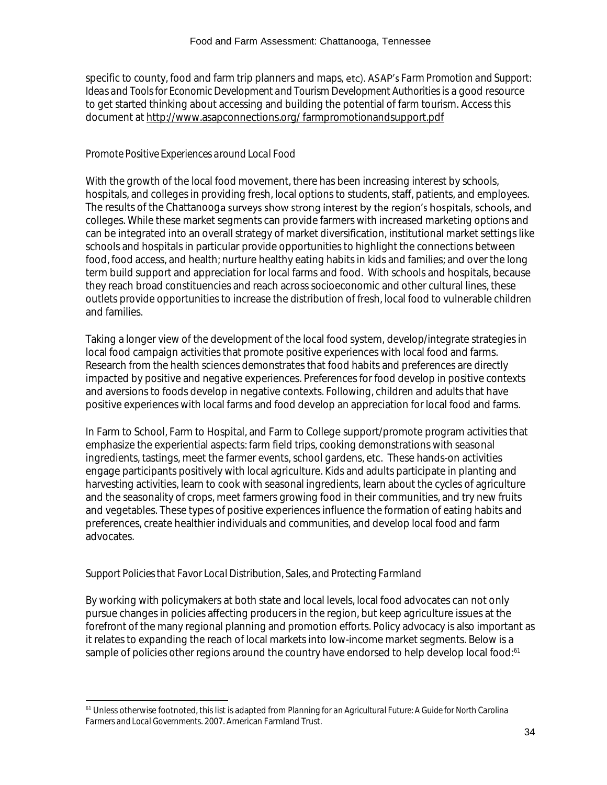specific to county, food and farm trip planners and maps, etc). ASAP's Farm Promotion and Support: *Ideas and Tools for Economic Development and Tourism Development Authorities* is a good resource to get started thinking about accessing and building the potential of farm tourism. Access this document at [http://www.asapconnections.org/ farmpromotionandsupport.pdf](http://www.asapconnections.org/%20farmpromotionandsupport.pdf)

# *Promote Positive Experiences around Local Food*

With the growth of the local food movement, there has been increasing interest by schools, hospitals, and colleges in providing fresh, local options to students, staff, patients, and employees. The results of the Chattanooga surveys show strong interest by the region's hospitals, schools, and colleges. While these market segments can provide farmers with increased marketing options and can be integrated into an overall strategy of market diversification, institutional market settings like schools and hospitals in particular provide opportunities to highlight the connections between food, food access, and health; nurture healthy eating habits in kids and families; and over the long term build support and appreciation for local farms and food. With schools and hospitals, because they reach broad constituencies and reach across socioeconomic and other cultural lines, these outlets provide opportunities to increase the distribution of fresh, local food to vulnerable children and families.

Taking a longer view of the development of the local food system, develop/integrate strategies in local food campaign activities that promote positive experiences with local food and farms. Research from the health sciences demonstrates that food habits and preferences are directly impacted by positive and negative experiences. Preferences for food develop in positive contexts and aversions to foods develop in negative contexts. Following, children and adults that have positive experiences with local farms and food develop an appreciation for local food and farms.

In Farm to School, Farm to Hospital, and Farm to College support/promote program activities that emphasize the experiential aspects: farm field trips, cooking demonstrations with seasonal ingredients, tastings, meet the farmer events, school gardens, etc. These hands-on activities engage participants positively with local agriculture. Kids and adults participate in planting and harvesting activities, learn to cook with seasonal ingredients, learn about the cycles of agriculture and the seasonality of crops, meet farmers growing food in their communities, and try new fruits and vegetables. These types of positive experiences influence the formation of eating habits and preferences, create healthier individuals and communities, and develop local food and farm advocates.

# *Support Policies that Favor Local Distribution, Sales, and Protecting Farmland*

l

By working with policymakers at both state and local levels, local food advocates can not only pursue changes in policies affecting producers in the region, but keep agriculture issues at the forefront of the many regional planning and promotion efforts. Policy advocacy is also important as it relates to expanding the reach of local markets into low-income market segments. Below is a sample of policies other regions around the country have endorsed to help develop local food:<sup>61</sup>

<sup>61</sup> Unless otherwise footnoted, this list is adapted from *Planning for an Agricultural Future: A Guide for North Carolina Farmers and Local Governments*. 2007. American Farmland Trust.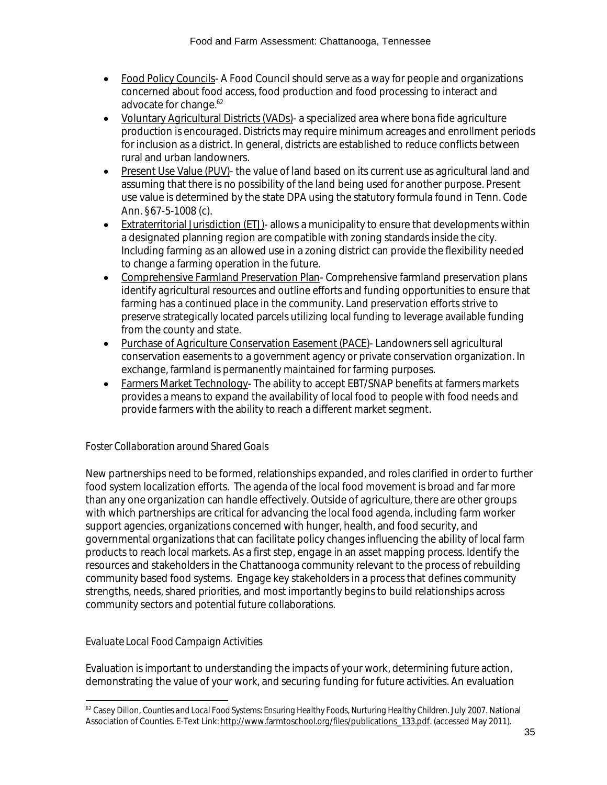- Food Policy Councils- A Food Council should serve as a way for people and organizations concerned about food access, food production and food processing to interact and advocate for change.<sup>62</sup>
- Voluntary Agricultural Districts (VADs)- a specialized area where bona fide agriculture production is encouraged. Districts may require minimum acreages and enrollment periods for inclusion as a district. In general, districts are established to reduce conflicts between rural and urban landowners.
- Present Use Value (PUV)- the value of land based on its current use as agricultural land and assuming that there is no possibility of the land being used for another purpose. Present use value is determined by the state DPA using the statutory formula found in Tenn. Code Ann. §67-5-1008 (c).
- Extraterritorial Jurisdiction (ETJ)- allows a municipality to ensure that developments within a designated planning region are compatible with zoning standards inside the city. Including farming as an allowed use in a zoning district can provide the flexibility needed to change a farming operation in the future.
- Comprehensive Farmland Preservation Plan- Comprehensive farmland preservation plans identify agricultural resources and outline efforts and funding opportunities to ensure that farming has a continued place in the community. Land preservation efforts strive to preserve strategically located parcels utilizing local funding to leverage available funding from the county and state.
- Purchase of Agriculture Conservation Easement (PACE)- Landowners sell agricultural conservation easements to a government agency or private conservation organization. In exchange, farmland is permanently maintained for farming purposes.
- Farmers Market Technology- The ability to accept EBT/SNAP benefits at farmers markets provides a means to expand the availability of local food to people with food needs and provide farmers with the ability to reach a different market segment.

# *Foster Collaboration around Shared Goals*

New partnerships need to be formed, relationships expanded, and roles clarified in order to further food system localization efforts. The agenda of the local food movement is broad and far more than any one organization can handle effectively. Outside of agriculture, there are other groups with which partnerships are critical for advancing the local food agenda, including farm worker support agencies, organizations concerned with hunger, health, and food security, and governmental organizations that can facilitate policy changes influencing the ability of local farm products to reach local markets. As a first step, engage in an asset mapping process. Identify the resources and stakeholders in the Chattanooga community relevant to the process of rebuilding community based food systems. Engage key stakeholders in a process that defines community strengths, needs, shared priorities, and most importantly begins to build relationships across community sectors and potential future collaborations.

# *Evaluate Local Food Campaign Activities*

Evaluation is important to understanding the impacts of your work, determining future action, demonstrating the value of your work, and securing funding for future activities. An evaluation

l <sup>62</sup> Casey Dillon, *Counties and Local Food Systems: Ensuring Healthy Foods, Nurturing Healthy Children. July 2007. National* Association of Counties. E-Text Link[: http://www.farmtoschool.org/files/publications\\_133.pdf.](http://www.farmtoschool.org/files/publications_133.pdf) (accessed May 2011).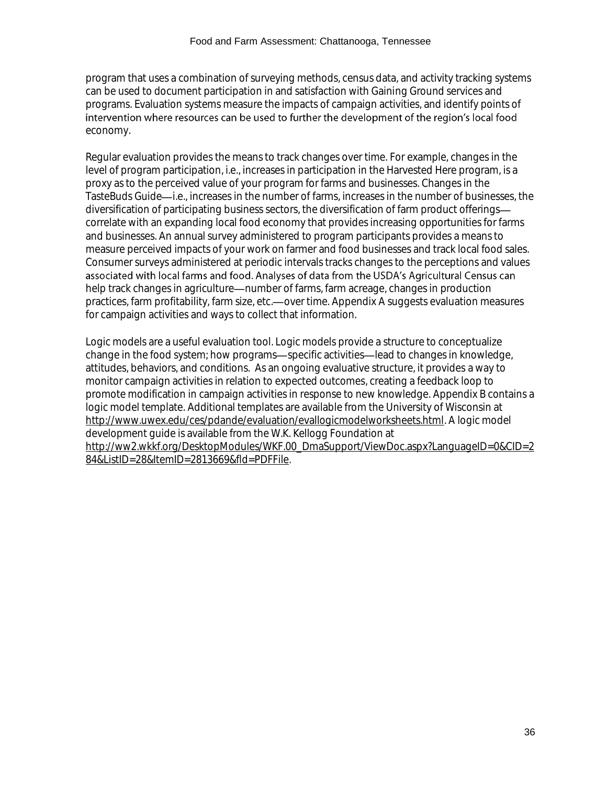program that uses a combination of surveying methods, census data, and activity tracking systems can be used to document participation in and satisfaction with Gaining Ground services and programs. Evaluation systems measure the impacts of campaign activities, and identify points of intervention where resources can be used to further the development of the region's local food economy.

Regular evaluation provides the means to track changes over time. For example, changes in the level of program participation, i.e., increases in participation in the Harvested Here program, is a proxy as to the perceived value of your program for farms and businesses. Changes in the TasteBuds Guide-i.e., increases in the number of farms, increases in the number of businesses, the diversification of participating business sectors, the diversification of farm product offerings correlate with an expanding local food economy that provides increasing opportunities for farms and businesses. An annual survey administered to program participants provides a means to measure perceived impacts of your work on farmer and food businesses and track local food sales. Consumer surveys administered at periodic intervals tracks changes to the perceptions and values associated with local farms and food. Analyses of data from the USDA's Agricultural Census can help track changes in agriculture—number of farms, farm acreage, changes in production practices, farm profitability, farm size, etc. - over time. Appendix A suggests evaluation measures for campaign activities and ways to collect that information.

Logic models are a useful evaluation tool. Logic models provide a structure to conceptualize change in the food system; how programs—specific activities—lead to changes in knowledge, attitudes, behaviors, and conditions. As an ongoing evaluative structure, it provides a way to monitor campaign activities in relation to expected outcomes, creating a feedback loop to promote modification in campaign activities in response to new knowledge. Appendix B contains a logic model template. Additional templates are available from the University of Wisconsin at [http://www.uwex.edu/ces/pdande/evaluation/evallogicmodelworksheets.html.](http://www.uwex.edu/ces/pdande/evaluation/evallogicmodelworksheets.html) A logic model development guide is available from the W.K. Kellogg Foundation at [http://ww2.wkkf.org/DesktopModules/WKF.00\\_DmaSupport/ViewDoc.aspx?LanguageID=0&CID=2](http://ww2.wkkf.org/DesktopModules/WKF.00_DmaSupport/ViewDoc.aspx?LanguageID=0&CID=284&ListID=28&ItemID=2813669&fld=PDFFile) [84&ListID=28&ItemID=2813669&fld=PDFFile.](http://ww2.wkkf.org/DesktopModules/WKF.00_DmaSupport/ViewDoc.aspx?LanguageID=0&CID=284&ListID=28&ItemID=2813669&fld=PDFFile)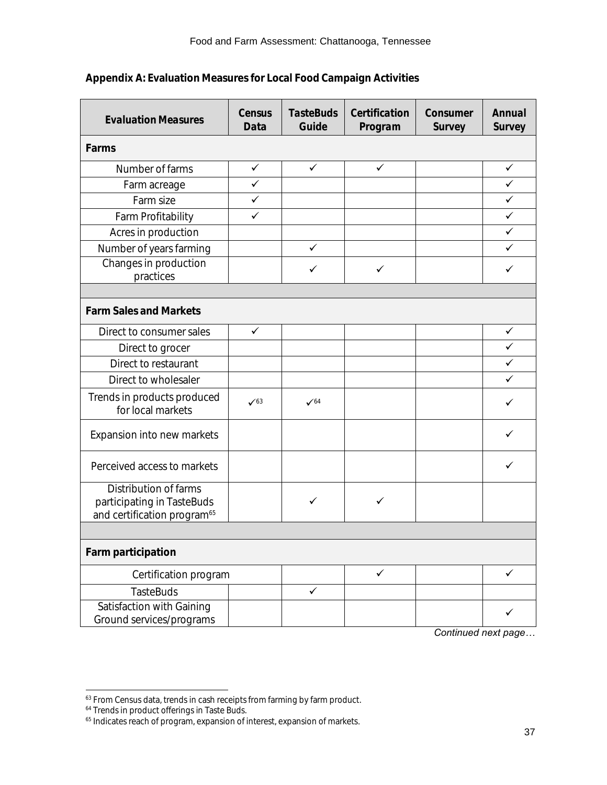#### Food and Farm Assessment: Chattanooga, Tennessee

| <b>Evaluation Measures</b>                                                                     | Census                     | <b>TasteBuds</b> | Certification | Consumer | Annual       |
|------------------------------------------------------------------------------------------------|----------------------------|------------------|---------------|----------|--------------|
|                                                                                                | Data                       | Guide            | Program       | Survey   | Survey       |
| Farms                                                                                          |                            |                  |               |          |              |
| Number of farms                                                                                | $\checkmark$               | $\checkmark$     | ✓             |          | $\checkmark$ |
| Farm acreage                                                                                   | $\checkmark$               |                  |               |          | $\checkmark$ |
| Farm size                                                                                      | ✓                          |                  |               |          | ✓            |
| Farm Profitability                                                                             | $\checkmark$               |                  |               |          | $\checkmark$ |
| Acres in production                                                                            |                            |                  |               |          | ✓            |
| Number of years farming                                                                        |                            | ✓                |               |          | ✓            |
| Changes in production<br>practices                                                             |                            | ✓                | ✓             |          | ✓            |
|                                                                                                |                            |                  |               |          |              |
| <b>Farm Sales and Markets</b>                                                                  |                            |                  |               |          |              |
| Direct to consumer sales                                                                       | $\checkmark$               |                  |               |          | ✓            |
| Direct to grocer                                                                               |                            |                  |               |          | $\checkmark$ |
| Direct to restaurant                                                                           |                            |                  |               |          | ✓            |
| Direct to wholesaler                                                                           |                            |                  |               |          | ✓            |
| Trends in products produced<br>for local markets                                               | $\checkmark$ <sup>63</sup> | $\sqrt{64}$      |               |          | ✓            |
| Expansion into new markets                                                                     |                            |                  |               |          | ✓            |
| Perceived access to markets                                                                    |                            |                  |               |          | ✓            |
| Distribution of farms<br>participating in TasteBuds<br>and certification program <sup>65</sup> |                            | $\checkmark$     | ✓             |          |              |
|                                                                                                |                            |                  |               |          |              |
| Farm participation                                                                             |                            |                  |               |          |              |
| Certification program                                                                          |                            |                  | $\checkmark$  |          | $\checkmark$ |
| <b>TasteBuds</b>                                                                               |                            | $\checkmark$     |               |          |              |
| Satisfaction with Gaining<br>Ground services/programs                                          |                            |                  |               |          | ✓            |

# **Appendix A: Evaluation Measures for Local Food Campaign Activities**

*Continued next page…*

l

 $\rm ^{63}$  From Census data, trends in cash receipts from farming by farm product.

<sup>&</sup>lt;sup>64</sup> Trends in product offerings in Taste Buds.

<sup>&</sup>lt;sup>65</sup> Indicates reach of program, expansion of interest, expansion of markets.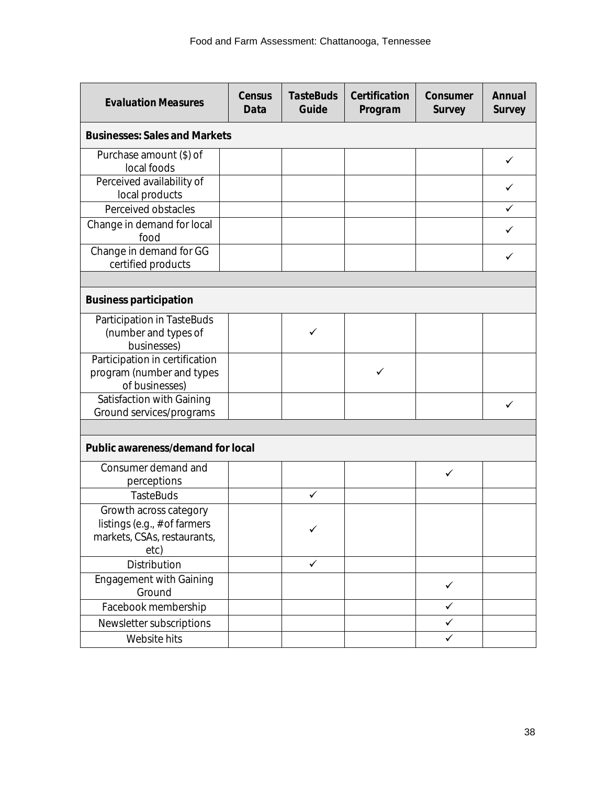| <b>Evaluation Measures</b>                                                                      | Census<br>Data | <b>TasteBuds</b><br>Guide | Certification<br>Program | Consumer<br>Survey | Annual<br>Survey |  |  |  |
|-------------------------------------------------------------------------------------------------|----------------|---------------------------|--------------------------|--------------------|------------------|--|--|--|
| <b>Businesses: Sales and Markets</b>                                                            |                |                           |                          |                    |                  |  |  |  |
| Purchase amount (\$) of<br>local foods                                                          |                |                           |                          |                    | ✓                |  |  |  |
| Perceived availability of<br>local products                                                     |                |                           |                          |                    |                  |  |  |  |
| Perceived obstacles                                                                             |                |                           |                          |                    | ✓                |  |  |  |
| Change in demand for local<br>food                                                              |                |                           |                          |                    |                  |  |  |  |
| Change in demand for GG<br>certified products                                                   |                |                           |                          |                    |                  |  |  |  |
|                                                                                                 |                |                           |                          |                    |                  |  |  |  |
| <b>Business participation</b>                                                                   |                |                           |                          |                    |                  |  |  |  |
| Participation in TasteBuds<br>(number and types of<br>businesses)                               |                | ✓                         |                          |                    |                  |  |  |  |
| Participation in certification<br>program (number and types<br>of businesses)                   |                |                           | ✓                        |                    |                  |  |  |  |
| Satisfaction with Gaining<br>Ground services/programs                                           |                |                           |                          |                    | ✓                |  |  |  |
|                                                                                                 |                |                           |                          |                    |                  |  |  |  |
| Public awareness/demand for local                                                               |                |                           |                          |                    |                  |  |  |  |
| Consumer demand and<br>perceptions                                                              |                |                           |                          | ✓                  |                  |  |  |  |
| <b>TasteBuds</b>                                                                                |                | ✓                         |                          |                    |                  |  |  |  |
| Growth across category<br>listings (e.g., $#$ of farmers<br>markets, CSAs, restaurants,<br>etc) |                | ✓                         |                          |                    |                  |  |  |  |
| Distribution                                                                                    |                | $\checkmark$              |                          |                    |                  |  |  |  |
| <b>Engagement with Gaining</b><br>Ground                                                        |                |                           |                          | $\checkmark$       |                  |  |  |  |
| Facebook membership                                                                             |                |                           |                          | $\checkmark$       |                  |  |  |  |
| Newsletter subscriptions                                                                        |                |                           |                          | $\checkmark$       |                  |  |  |  |
| Website hits                                                                                    |                |                           |                          | $\checkmark$       |                  |  |  |  |